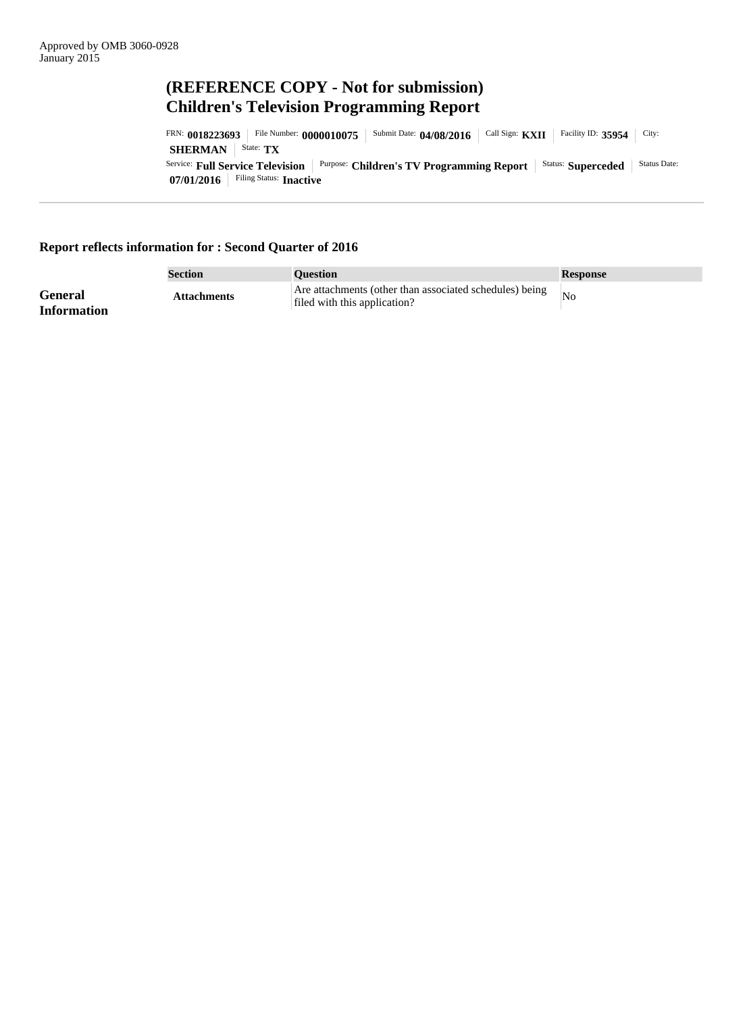# **(REFERENCE COPY - Not for submission) Children's Television Programming Report**

**07/01/2016** Filing Status: **Inactive** Service: **Full Service Television** Purpose: **Children's TV Programming Report** Status: **Superceded** Status Date: **SHERMAN** | State: **TX** FRN: 0018223693 | File Number: 0000010075 | Submit Date: 04/08/2016 | Call Sign: KXII | Facility ID: 35954 | City:

## **Report reflects information for : Second Quarter of 2016**

|                               | Section            | <b>Ouestion</b>                                                                         | <b>Response</b> |
|-------------------------------|--------------------|-----------------------------------------------------------------------------------------|-----------------|
| General<br><b>Information</b> | <b>Attachments</b> | Are attachments (other than associated schedules) being<br>filed with this application? | $N_{\rm O}$     |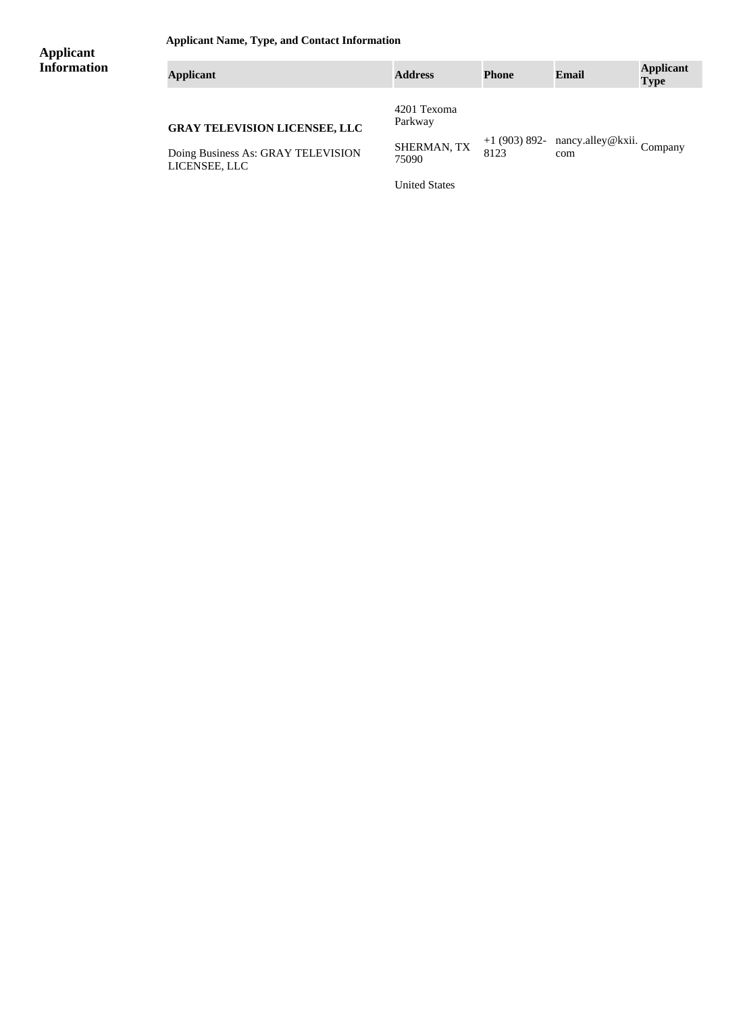**Applicant Name, Type, and Contact Information**

| <b>Applicant</b>   | $\mu$ , $\mu$ , $\mu$ , $\mu$ , $\mu$ , $\mu$ , $\mu$ , $\mu$ , $\mu$ , $\mu$ , $\mu$ , $\mu$ , $\mu$ , $\mu$ , $\mu$ |                        |                       |                                  |                                 |  |
|--------------------|-----------------------------------------------------------------------------------------------------------------------|------------------------|-----------------------|----------------------------------|---------------------------------|--|
| <b>Information</b> | <b>Applicant</b>                                                                                                      | <b>Address</b>         | <b>Phone</b>          | <b>Email</b>                     | <b>Applicant</b><br><b>Type</b> |  |
|                    | <b>GRAY TELEVISION LICENSEE, LLC</b>                                                                                  | 4201 Texoma<br>Parkway |                       |                                  |                                 |  |
|                    | Doing Business As: GRAY TELEVISION<br>LICENSEE, LLC                                                                   | SHERMAN, TX<br>75090   | $+1(903)892-$<br>8123 | nancy.alley@kxii. Company<br>com |                                 |  |

United States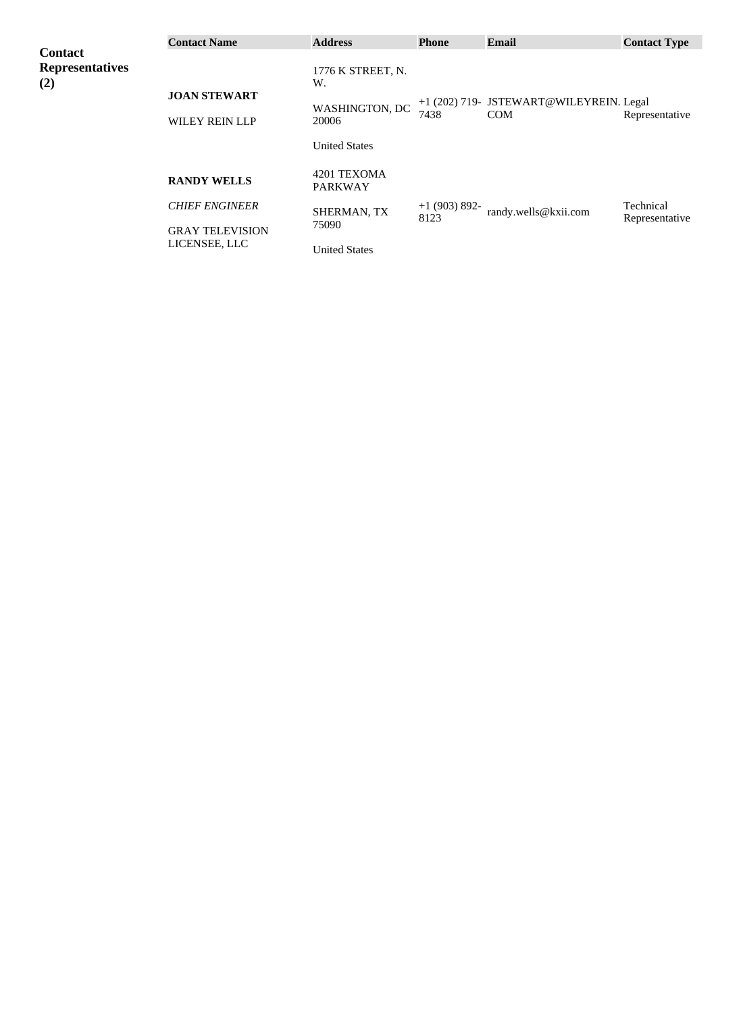|                                                 | <b>Contact Name</b>                          | <b>Address</b>                | <b>Phone</b>  | <b>Email</b>                                          | <b>Contact Type</b> |
|-------------------------------------------------|----------------------------------------------|-------------------------------|---------------|-------------------------------------------------------|---------------------|
| <b>Contact</b><br><b>Representatives</b><br>(2) |                                              | 1776 K STREET, N.<br>W.       |               |                                                       |                     |
|                                                 | <b>JOAN STEWART</b><br><b>WILEY REIN LLP</b> | WASHINGTON, DC<br>20006       | 7438          | +1 (202) 719- JSTEWART@WILEYREIN. Legal<br><b>COM</b> | Representative      |
|                                                 |                                              | <b>United States</b>          |               |                                                       |                     |
|                                                 | <b>RANDY WELLS</b>                           | 4201 TEXOMA<br><b>PARKWAY</b> |               |                                                       |                     |
|                                                 | <b>CHIEF ENGINEER</b>                        | SHERMAN, TX                   | $+1(903)892-$ | randy.wells@kxii.com                                  | Technical           |
|                                                 | <b>GRAY TELEVISION</b>                       | 75090                         | 8123          |                                                       | Representative      |
|                                                 | LICENSEE, LLC                                | <b>United States</b>          |               |                                                       |                     |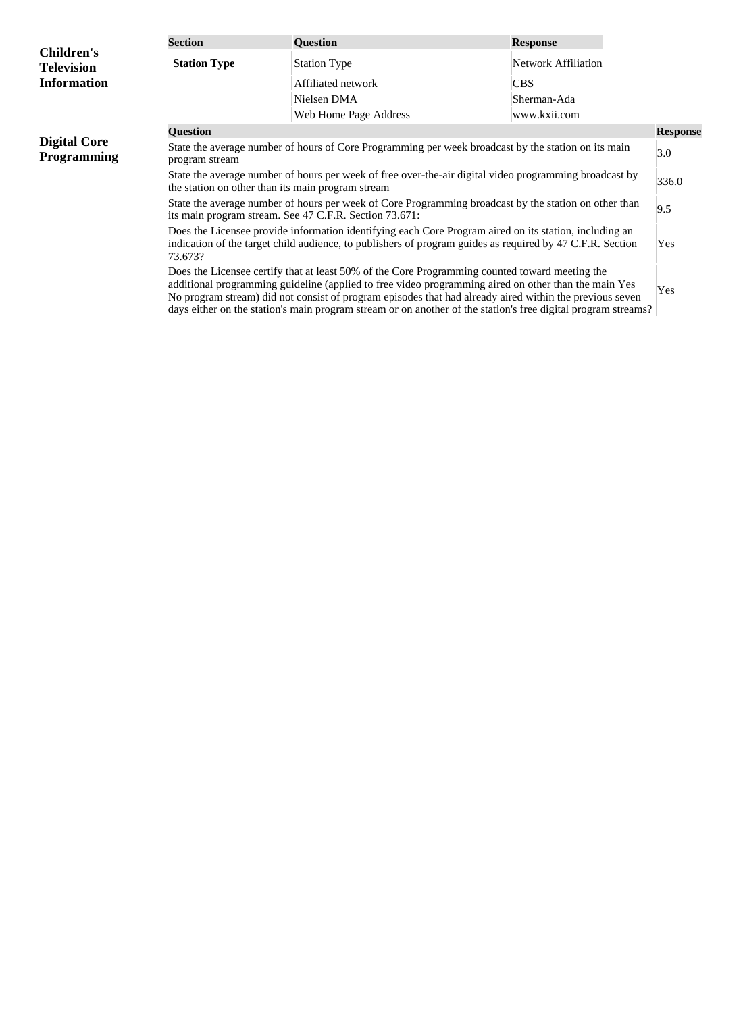|                                           | <b>Section</b>                                                                                                                                                                                                                 | <b>Question</b>                                                                                                                                                                                                                                                                                                                                                                                                                    | <b>Response</b>            |                 |
|-------------------------------------------|--------------------------------------------------------------------------------------------------------------------------------------------------------------------------------------------------------------------------------|------------------------------------------------------------------------------------------------------------------------------------------------------------------------------------------------------------------------------------------------------------------------------------------------------------------------------------------------------------------------------------------------------------------------------------|----------------------------|-----------------|
| <b>Children's</b><br><b>Television</b>    | <b>Station Type</b>                                                                                                                                                                                                            | <b>Station Type</b>                                                                                                                                                                                                                                                                                                                                                                                                                | <b>Network Affiliation</b> |                 |
| <b>Information</b>                        |                                                                                                                                                                                                                                | Affiliated network                                                                                                                                                                                                                                                                                                                                                                                                                 | <b>CBS</b>                 |                 |
|                                           |                                                                                                                                                                                                                                | Nielsen DMA                                                                                                                                                                                                                                                                                                                                                                                                                        | Sherman-Ada                |                 |
|                                           |                                                                                                                                                                                                                                | Web Home Page Address                                                                                                                                                                                                                                                                                                                                                                                                              | www.kxii.com               |                 |
|                                           | <b>Question</b>                                                                                                                                                                                                                |                                                                                                                                                                                                                                                                                                                                                                                                                                    |                            | <b>Response</b> |
| <b>Digital Core</b><br><b>Programming</b> | State the average number of hours of Core Programming per week broadcast by the station on its main<br>program stream                                                                                                          |                                                                                                                                                                                                                                                                                                                                                                                                                                    |                            | 3.0             |
|                                           | State the average number of hours per week of free over-the-air digital video programming broadcast by<br>the station on other than its main program stream                                                                    |                                                                                                                                                                                                                                                                                                                                                                                                                                    |                            | 336.0           |
|                                           | State the average number of hours per week of Core Programming broadcast by the station on other than<br>its main program stream. See 47 C.F.R. Section 73.671:                                                                |                                                                                                                                                                                                                                                                                                                                                                                                                                    |                            |                 |
|                                           | Does the Licensee provide information identifying each Core Program aired on its station, including an<br>indication of the target child audience, to publishers of program guides as required by 47 C.F.R. Section<br>73.673? |                                                                                                                                                                                                                                                                                                                                                                                                                                    |                            | Yes             |
|                                           |                                                                                                                                                                                                                                | Does the Licensee certify that at least 50% of the Core Programming counted toward meeting the<br>additional programming guideline (applied to free video programming aired on other than the main Yes<br>No program stream) did not consist of program episodes that had already aired within the previous seven<br>days either on the station's main program stream or on another of the station's free digital program streams? |                            | Yes             |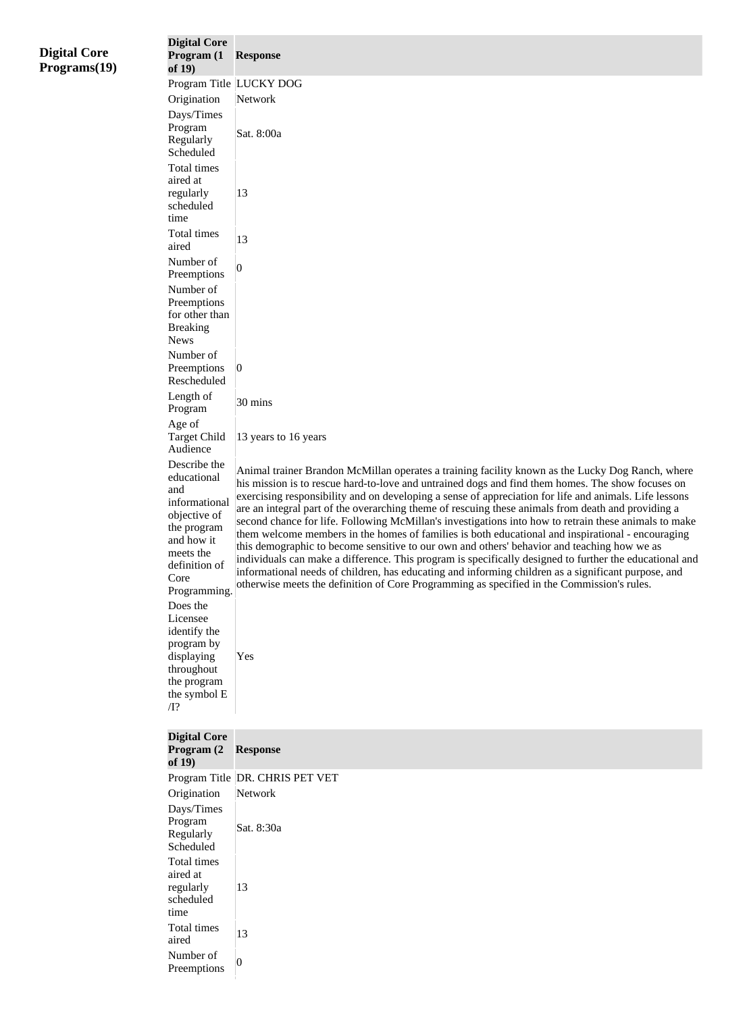| <b>Digital Core</b><br>Programs(19) | <b>Digital Core</b><br>Program (1<br>of $19)$    | <b>Response</b>                                                                                                                                                                                            |
|-------------------------------------|--------------------------------------------------|------------------------------------------------------------------------------------------------------------------------------------------------------------------------------------------------------------|
|                                     |                                                  | Program Title LUCKY DOG                                                                                                                                                                                    |
|                                     | Origination                                      | Network                                                                                                                                                                                                    |
|                                     | Days/Times                                       |                                                                                                                                                                                                            |
|                                     | Program                                          | Sat. 8:00a                                                                                                                                                                                                 |
|                                     | Regularly<br>Scheduled                           |                                                                                                                                                                                                            |
|                                     | Total times<br>aired at                          |                                                                                                                                                                                                            |
|                                     | regularly<br>scheduled                           | 13                                                                                                                                                                                                         |
|                                     | time                                             |                                                                                                                                                                                                            |
|                                     | Total times<br>aired                             | 13                                                                                                                                                                                                         |
|                                     | Number of                                        | 0                                                                                                                                                                                                          |
|                                     | Preemptions                                      |                                                                                                                                                                                                            |
|                                     | Number of                                        |                                                                                                                                                                                                            |
|                                     | Preemptions<br>for other than<br><b>Breaking</b> |                                                                                                                                                                                                            |
|                                     | <b>News</b>                                      |                                                                                                                                                                                                            |
|                                     | Number of                                        |                                                                                                                                                                                                            |
|                                     | Preemptions<br>Rescheduled                       | $\vert 0 \vert$                                                                                                                                                                                            |
|                                     | Length of<br>Program<br>Age of                   | 30 mins                                                                                                                                                                                                    |
|                                     | <b>Target Child</b><br>Audience                  | 13 years to 16 years                                                                                                                                                                                       |
|                                     | Describe the                                     | Animal trainer Brandon McMillan operates a training facility known as the Lucky Dog Ranch, where                                                                                                           |
|                                     | educational                                      | his mission is to rescue hard-to-love and untrained dogs and find them homes. The show focuses on                                                                                                          |
|                                     | and<br>informational                             | exercising responsibility and on developing a sense of appreciation for life and animals. Life lessons                                                                                                     |
|                                     | objective of                                     | are an integral part of the overarching theme of rescuing these animals from death and providing a                                                                                                         |
|                                     | the program                                      | second chance for life. Following McMillan's investigations into how to retrain these animals to make<br>them welcome members in the homes of families is both educational and inspirational - encouraging |
|                                     | and how it                                       | this demographic to become sensitive to our own and others' behavior and teaching how we as                                                                                                                |
|                                     | meets the                                        | individuals can make a difference. This program is specifically designed to further the educational and                                                                                                    |
|                                     | definition of<br>Core                            | informational needs of children, has educating and informing children as a significant purpose, and<br>otherwise meets the definition of Core Programming as specified in the Commission's rules.          |
|                                     | Programming.                                     |                                                                                                                                                                                                            |
|                                     | Does the<br>Licensee                             |                                                                                                                                                                                                            |
|                                     | identify the                                     |                                                                                                                                                                                                            |
|                                     | program by                                       |                                                                                                                                                                                                            |
|                                     | displaying                                       | Yes                                                                                                                                                                                                        |
|                                     | throughout                                       |                                                                                                                                                                                                            |
|                                     | the program                                      |                                                                                                                                                                                                            |
|                                     | the symbol E<br>$\overline{\Pi}$ ?               |                                                                                                                                                                                                            |
|                                     | <b>Digital Core</b>                              |                                                                                                                                                                                                            |
|                                     | Program (2<br>of $19)$                           | <b>Response</b>                                                                                                                                                                                            |
|                                     |                                                  | Program Title DR. CHRIS PET VET                                                                                                                                                                            |
|                                     | Origination                                      | Network                                                                                                                                                                                                    |
|                                     | Days/Times                                       |                                                                                                                                                                                                            |
|                                     | Program<br>Regularly                             | Sat. 8:30a                                                                                                                                                                                                 |
|                                     | Scheduled<br>Total times                         |                                                                                                                                                                                                            |
|                                     | aired at                                         |                                                                                                                                                                                                            |
|                                     | regularly                                        | 13                                                                                                                                                                                                         |
|                                     | scheduled<br>time                                |                                                                                                                                                                                                            |
|                                     | Total times<br>aired                             | 13                                                                                                                                                                                                         |
|                                     | Number of<br>Preemptions                         | $\vert 0 \vert$                                                                                                                                                                                            |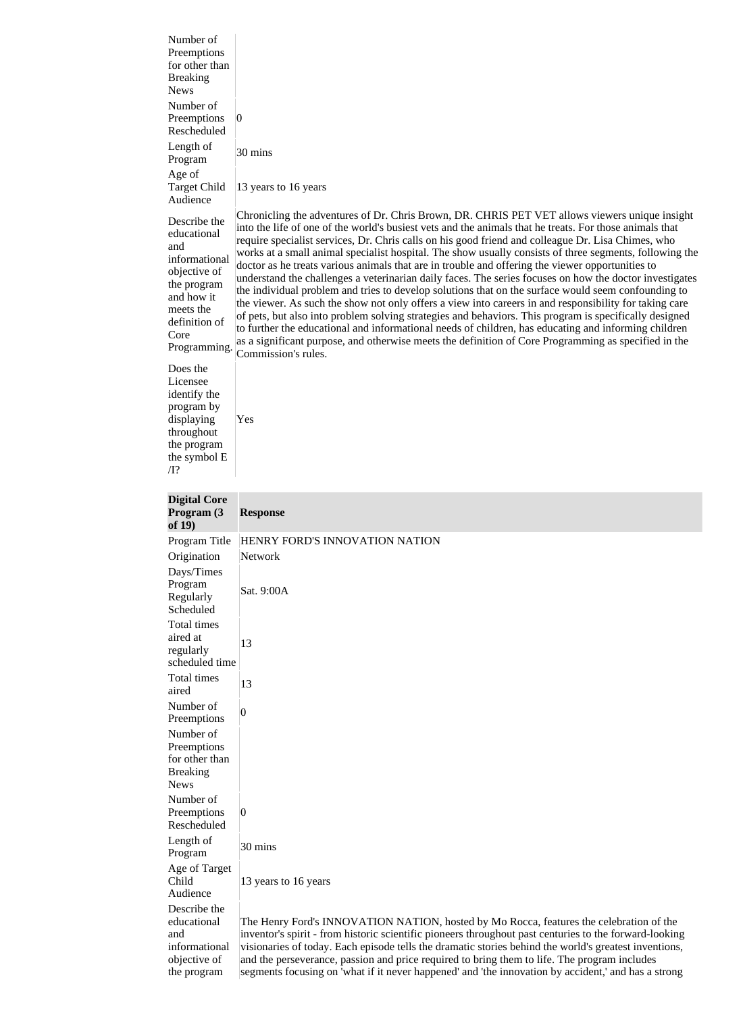| Number of<br>Preemptions<br>for other than<br><b>Breaking</b><br><b>News</b>                                                                           |                                                                                                                                                                                                                                                                                                                                                                                                                                                                                                                                                                                                                                                                                                                                                                                                                                                                                                                                                                                                                                                                                                                                                                                                             |
|--------------------------------------------------------------------------------------------------------------------------------------------------------|-------------------------------------------------------------------------------------------------------------------------------------------------------------------------------------------------------------------------------------------------------------------------------------------------------------------------------------------------------------------------------------------------------------------------------------------------------------------------------------------------------------------------------------------------------------------------------------------------------------------------------------------------------------------------------------------------------------------------------------------------------------------------------------------------------------------------------------------------------------------------------------------------------------------------------------------------------------------------------------------------------------------------------------------------------------------------------------------------------------------------------------------------------------------------------------------------------------|
| Number of<br>Preemptions<br>Rescheduled                                                                                                                | $\vert 0 \vert$                                                                                                                                                                                                                                                                                                                                                                                                                                                                                                                                                                                                                                                                                                                                                                                                                                                                                                                                                                                                                                                                                                                                                                                             |
| Length of<br>Program                                                                                                                                   | $30 \text{ mins}$                                                                                                                                                                                                                                                                                                                                                                                                                                                                                                                                                                                                                                                                                                                                                                                                                                                                                                                                                                                                                                                                                                                                                                                           |
| Age of<br><b>Target Child</b><br>Audience                                                                                                              | 13 years to 16 years                                                                                                                                                                                                                                                                                                                                                                                                                                                                                                                                                                                                                                                                                                                                                                                                                                                                                                                                                                                                                                                                                                                                                                                        |
| Describe the<br>educational<br>and<br>informational<br>objective of<br>the program<br>and how it<br>meets the<br>definition of<br>Core<br>Programming. | Chronicling the adventures of Dr. Chris Brown, DR. CHRIS PET VET allows viewers unique insight<br>into the life of one of the world's busiest vets and the animals that he treats. For those animals that<br>require specialist services, Dr. Chris calls on his good friend and colleague Dr. Lisa Chimes, who<br>works at a small animal specialist hospital. The show usually consists of three segments, following the<br>doctor as he treats various animals that are in trouble and offering the viewer opportunities to<br>understand the challenges a veterinarian daily faces. The series focuses on how the doctor investigates<br>the individual problem and tries to develop solutions that on the surface would seem confounding to<br>the viewer. As such the show not only offers a view into careers in and responsibility for taking care<br>of pets, but also into problem solving strategies and behaviors. This program is specifically designed<br>to further the educational and informational needs of children, has educating and informing children<br>as a significant purpose, and otherwise meets the definition of Core Programming as specified in the<br>Commission's rules. |
| Does the<br>Licensee<br>identify the<br>program by<br>displaying<br>throughout<br>the program<br>the symbol E<br>$\overline{\Pi}$ ?                    | Yes                                                                                                                                                                                                                                                                                                                                                                                                                                                                                                                                                                                                                                                                                                                                                                                                                                                                                                                                                                                                                                                                                                                                                                                                         |
| <b>Digital Core</b>                                                                                                                                    |                                                                                                                                                                                                                                                                                                                                                                                                                                                                                                                                                                                                                                                                                                                                                                                                                                                                                                                                                                                                                                                                                                                                                                                                             |
| Program (3                                                                                                                                             | <b>Response</b>                                                                                                                                                                                                                                                                                                                                                                                                                                                                                                                                                                                                                                                                                                                                                                                                                                                                                                                                                                                                                                                                                                                                                                                             |
| of $19)$<br>Program Title                                                                                                                              | HENRY FORD'S INNOVATION NATION                                                                                                                                                                                                                                                                                                                                                                                                                                                                                                                                                                                                                                                                                                                                                                                                                                                                                                                                                                                                                                                                                                                                                                              |
| Origination                                                                                                                                            | Network                                                                                                                                                                                                                                                                                                                                                                                                                                                                                                                                                                                                                                                                                                                                                                                                                                                                                                                                                                                                                                                                                                                                                                                                     |
| Days/Times                                                                                                                                             |                                                                                                                                                                                                                                                                                                                                                                                                                                                                                                                                                                                                                                                                                                                                                                                                                                                                                                                                                                                                                                                                                                                                                                                                             |
| Program                                                                                                                                                | Sat. 9:00A                                                                                                                                                                                                                                                                                                                                                                                                                                                                                                                                                                                                                                                                                                                                                                                                                                                                                                                                                                                                                                                                                                                                                                                                  |
| Regularly<br>Scheduled                                                                                                                                 |                                                                                                                                                                                                                                                                                                                                                                                                                                                                                                                                                                                                                                                                                                                                                                                                                                                                                                                                                                                                                                                                                                                                                                                                             |
| Total times                                                                                                                                            |                                                                                                                                                                                                                                                                                                                                                                                                                                                                                                                                                                                                                                                                                                                                                                                                                                                                                                                                                                                                                                                                                                                                                                                                             |
| aired at<br>regularly                                                                                                                                  | 13                                                                                                                                                                                                                                                                                                                                                                                                                                                                                                                                                                                                                                                                                                                                                                                                                                                                                                                                                                                                                                                                                                                                                                                                          |
| scheduled time<br>Total times                                                                                                                          | 13                                                                                                                                                                                                                                                                                                                                                                                                                                                                                                                                                                                                                                                                                                                                                                                                                                                                                                                                                                                                                                                                                                                                                                                                          |
| aired<br>Number of                                                                                                                                     | $\overline{0}$                                                                                                                                                                                                                                                                                                                                                                                                                                                                                                                                                                                                                                                                                                                                                                                                                                                                                                                                                                                                                                                                                                                                                                                              |
| Preemptions<br>Number of<br>Preemptions<br>for other than<br><b>Breaking</b><br><b>News</b>                                                            |                                                                                                                                                                                                                                                                                                                                                                                                                                                                                                                                                                                                                                                                                                                                                                                                                                                                                                                                                                                                                                                                                                                                                                                                             |
| Number of<br>Preemptions<br>Rescheduled                                                                                                                | $\overline{0}$                                                                                                                                                                                                                                                                                                                                                                                                                                                                                                                                                                                                                                                                                                                                                                                                                                                                                                                                                                                                                                                                                                                                                                                              |
| Length of                                                                                                                                              | 30 mins                                                                                                                                                                                                                                                                                                                                                                                                                                                                                                                                                                                                                                                                                                                                                                                                                                                                                                                                                                                                                                                                                                                                                                                                     |
| Program<br>Age of Target<br>Child<br>Audience                                                                                                          | 13 years to 16 years                                                                                                                                                                                                                                                                                                                                                                                                                                                                                                                                                                                                                                                                                                                                                                                                                                                                                                                                                                                                                                                                                                                                                                                        |
| Describe the                                                                                                                                           |                                                                                                                                                                                                                                                                                                                                                                                                                                                                                                                                                                                                                                                                                                                                                                                                                                                                                                                                                                                                                                                                                                                                                                                                             |
| educational                                                                                                                                            | The Henry Ford's INNOVATION NATION, hosted by Mo Rocca, features the celebration of the                                                                                                                                                                                                                                                                                                                                                                                                                                                                                                                                                                                                                                                                                                                                                                                                                                                                                                                                                                                                                                                                                                                     |
| and<br>informational                                                                                                                                   | inventor's spirit - from historic scientific pioneers throughout past centuries to the forward-looking<br>visionaries of today. Each episode tells the dramatic stories behind the world's greatest inventions,                                                                                                                                                                                                                                                                                                                                                                                                                                                                                                                                                                                                                                                                                                                                                                                                                                                                                                                                                                                             |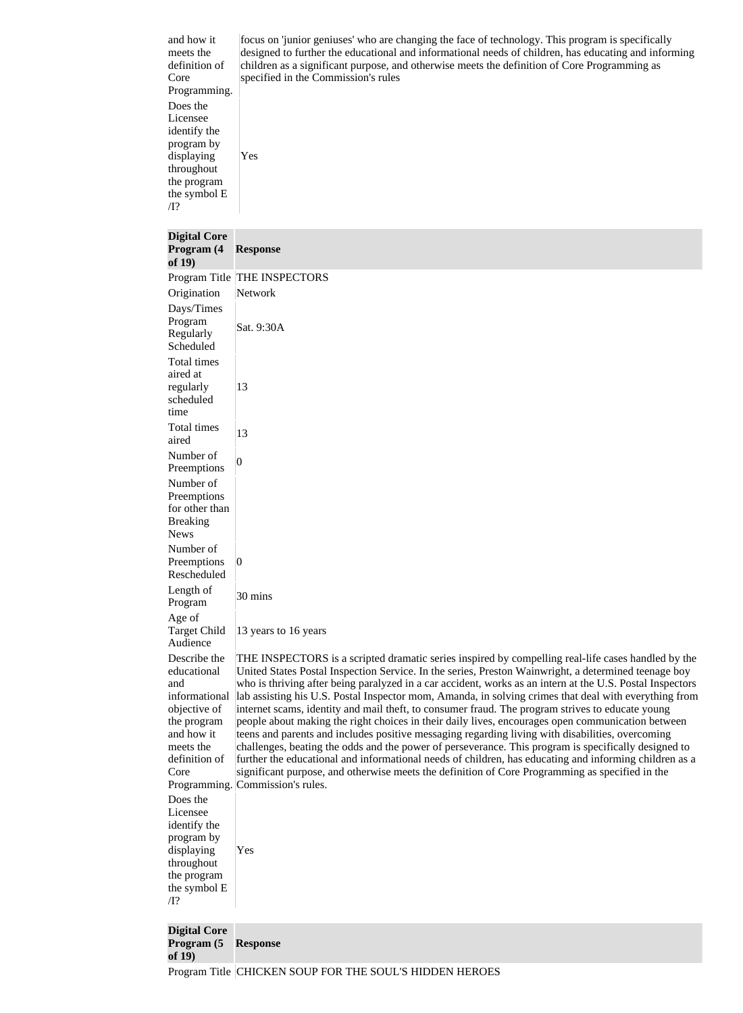and how it meets the definition of Core Programming. Does the Licensee identify the program by displaying throughout the program the symbol E /I? Yes

focus on 'junior geniuses' who are changing the face of technology. This program is specifically designed to further the educational and informational needs of children, has educating and informing children as a significant purpose, and otherwise meets the definition of Core Programming as specified in the Commission's rules

# **Digital Core**

| <b>Response</b>                                                                                                                                                                                                                                                                                                                                                                                                                                                                                                                                                                                                                                                                                                                                                                                                                                                                                                                                                                                                                                                                                               |
|---------------------------------------------------------------------------------------------------------------------------------------------------------------------------------------------------------------------------------------------------------------------------------------------------------------------------------------------------------------------------------------------------------------------------------------------------------------------------------------------------------------------------------------------------------------------------------------------------------------------------------------------------------------------------------------------------------------------------------------------------------------------------------------------------------------------------------------------------------------------------------------------------------------------------------------------------------------------------------------------------------------------------------------------------------------------------------------------------------------|
| Program Title THE INSPECTORS                                                                                                                                                                                                                                                                                                                                                                                                                                                                                                                                                                                                                                                                                                                                                                                                                                                                                                                                                                                                                                                                                  |
| Network                                                                                                                                                                                                                                                                                                                                                                                                                                                                                                                                                                                                                                                                                                                                                                                                                                                                                                                                                                                                                                                                                                       |
| Sat. 9:30A                                                                                                                                                                                                                                                                                                                                                                                                                                                                                                                                                                                                                                                                                                                                                                                                                                                                                                                                                                                                                                                                                                    |
| 13                                                                                                                                                                                                                                                                                                                                                                                                                                                                                                                                                                                                                                                                                                                                                                                                                                                                                                                                                                                                                                                                                                            |
| 13                                                                                                                                                                                                                                                                                                                                                                                                                                                                                                                                                                                                                                                                                                                                                                                                                                                                                                                                                                                                                                                                                                            |
| $\overline{0}$                                                                                                                                                                                                                                                                                                                                                                                                                                                                                                                                                                                                                                                                                                                                                                                                                                                                                                                                                                                                                                                                                                |
|                                                                                                                                                                                                                                                                                                                                                                                                                                                                                                                                                                                                                                                                                                                                                                                                                                                                                                                                                                                                                                                                                                               |
| $\vert 0 \vert$                                                                                                                                                                                                                                                                                                                                                                                                                                                                                                                                                                                                                                                                                                                                                                                                                                                                                                                                                                                                                                                                                               |
| 30 mins                                                                                                                                                                                                                                                                                                                                                                                                                                                                                                                                                                                                                                                                                                                                                                                                                                                                                                                                                                                                                                                                                                       |
| 13 years to 16 years                                                                                                                                                                                                                                                                                                                                                                                                                                                                                                                                                                                                                                                                                                                                                                                                                                                                                                                                                                                                                                                                                          |
| THE INSPECTORS is a scripted dramatic series inspired by compelling real-life cases handled by the<br>United States Postal Inspection Service. In the series, Preston Wainwright, a determined teenage boy<br>who is thriving after being paralyzed in a car accident, works as an intern at the U.S. Postal Inspectors<br>lab assisting his U.S. Postal Inspector mom, Amanda, in solving crimes that deal with everything from<br>internet scams, identity and mail theft, to consumer fraud. The program strives to educate young<br>people about making the right choices in their daily lives, encourages open communication between<br>teens and parents and includes positive messaging regarding living with disabilities, overcoming<br>challenges, beating the odds and the power of perseverance. This program is specifically designed to<br>further the educational and informational needs of children, has educating and informing children as a<br>significant purpose, and otherwise meets the definition of Core Programming as specified in the<br>Programming. Commission's rules.<br>Yes |
|                                                                                                                                                                                                                                                                                                                                                                                                                                                                                                                                                                                                                                                                                                                                                                                                                                                                                                                                                                                                                                                                                                               |

**Digital Core Program (5 Response of 19)**

Program Title CHICKEN SOUP FOR THE SOUL'S HIDDEN HEROES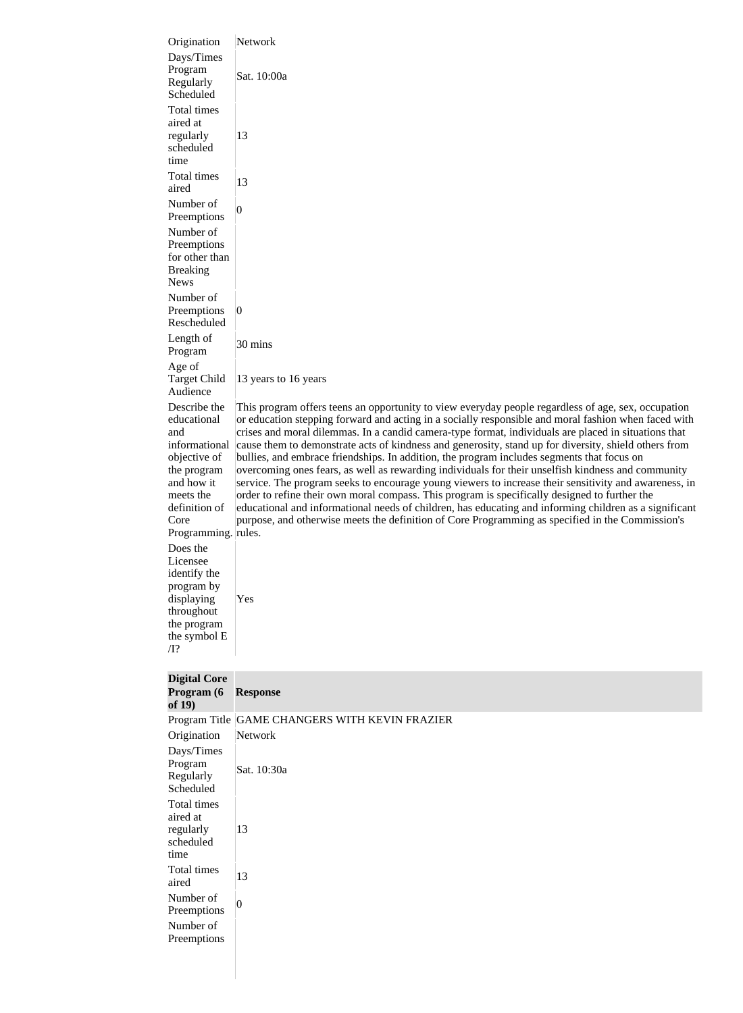| Origination<br>Days/Times<br>Program<br>Regularly<br>Scheduled | Network<br>Sat. 10:00a                                                                                                                                                                                                                                                                                                                                                                                             |
|----------------------------------------------------------------|--------------------------------------------------------------------------------------------------------------------------------------------------------------------------------------------------------------------------------------------------------------------------------------------------------------------------------------------------------------------------------------------------------------------|
| Total times<br>aired at<br>regularly<br>scheduled              | 13                                                                                                                                                                                                                                                                                                                                                                                                                 |
| time<br>Total times<br>aired                                   | 13                                                                                                                                                                                                                                                                                                                                                                                                                 |
| Number of<br>Preemptions<br>Number of                          | 0                                                                                                                                                                                                                                                                                                                                                                                                                  |
| Preemptions<br>for other than<br><b>Breaking</b>               |                                                                                                                                                                                                                                                                                                                                                                                                                    |
| <b>News</b><br>Number of<br>Preemptions                        | $\vert 0 \vert$                                                                                                                                                                                                                                                                                                                                                                                                    |
| Rescheduled<br>Length of<br>Program                            | 30 mins                                                                                                                                                                                                                                                                                                                                                                                                            |
| Age of<br><b>Target Child</b><br>Audience                      | 13 years to 16 years                                                                                                                                                                                                                                                                                                                                                                                               |
| Describe the<br>educational<br>and                             | This program offers teens an opportunity to view everyday people regardless of age, sex, occupation<br>or education stepping forward and acting in a socially responsible and moral fashion when faced with<br>crises and moral dilemmas. In a candid camera-type format, individuals are placed in situations that                                                                                                |
| informational<br>objective of<br>the program<br>and how it     | cause them to demonstrate acts of kindness and generosity, stand up for diversity, shield others from<br>bullies, and embrace friendships. In addition, the program includes segments that focus on<br>overcoming ones fears, as well as rewarding individuals for their unselfish kindness and community<br>service. The program seeks to encourage young viewers to increase their sensitivity and awareness, in |
| meets the<br>definition of<br>Core<br>Programming. rules.      | order to refine their own moral compass. This program is specifically designed to further the<br>educational and informational needs of children, has educating and informing children as a significant<br>purpose, and otherwise meets the definition of Core Programming as specified in the Commission's                                                                                                        |
| Does the<br>Licensee<br>identify the<br>program by             |                                                                                                                                                                                                                                                                                                                                                                                                                    |
| displaying<br>throughout<br>the program<br>the symbol E        | Yes                                                                                                                                                                                                                                                                                                                                                                                                                |
| $\overline{\Pi}$ ?                                             |                                                                                                                                                                                                                                                                                                                                                                                                                    |
| <b>Digital Core</b><br>Program (6<br>of $19)$                  | <b>Response</b>                                                                                                                                                                                                                                                                                                                                                                                                    |
|                                                                | Program Title GAME CHANGERS WITH KEVIN FRAZIER                                                                                                                                                                                                                                                                                                                                                                     |
| Origination<br>Days/Times                                      | Network                                                                                                                                                                                                                                                                                                                                                                                                            |
| Program<br>Regularly<br>Scheduled                              | Sat. 10:30a                                                                                                                                                                                                                                                                                                                                                                                                        |
| Total times<br>aired at                                        |                                                                                                                                                                                                                                                                                                                                                                                                                    |
| regularly<br>scheduled<br>time                                 | 13                                                                                                                                                                                                                                                                                                                                                                                                                 |
| Total times<br>aired                                           | 13                                                                                                                                                                                                                                                                                                                                                                                                                 |
| Number of<br>Preemptions                                       | $\boldsymbol{0}$                                                                                                                                                                                                                                                                                                                                                                                                   |
| Number of<br>Preemptions                                       |                                                                                                                                                                                                                                                                                                                                                                                                                    |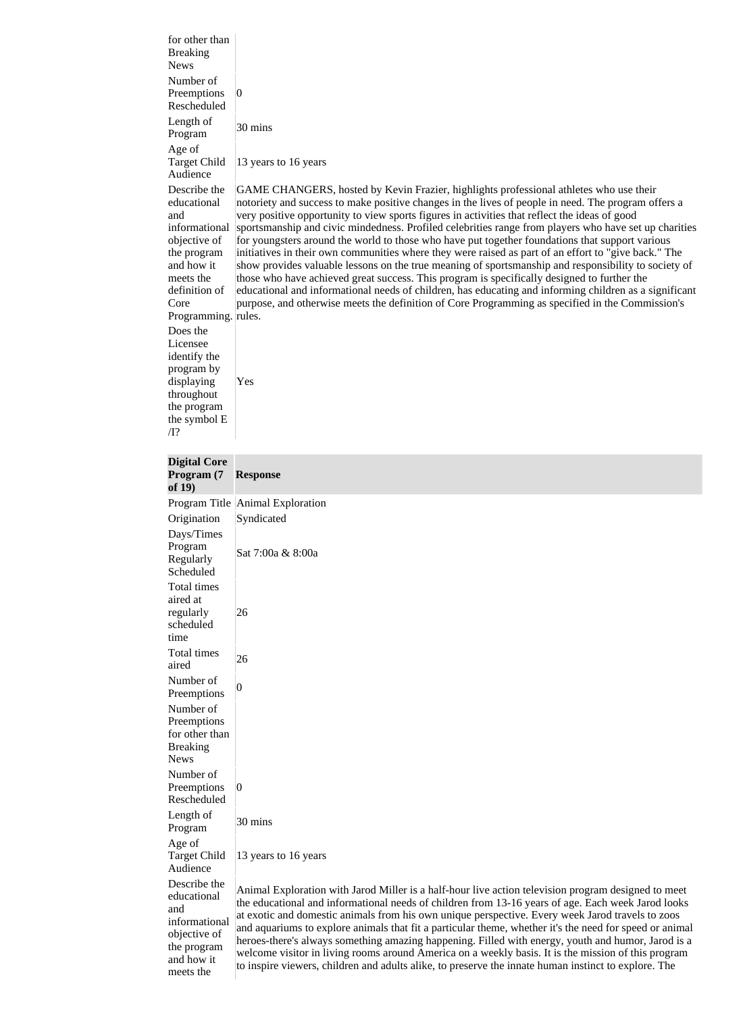for other than Breaking News Number of Preemptions Rescheduled 0 Length of Program  $30 \text{ mins}$ Age of Target Child Audience 13 years to 16 years Describe the educational and informational objective of the program and how it meets the definition of Core Programming. rules. GAME CHANGERS, hosted by Kevin Frazier, highlights professional athletes who use their notoriety and success to make positive changes in the lives of people in need. The program offers a very positive opportunity to view sports figures in activities that reflect the ideas of good sportsmanship and civic mindedness. Profiled celebrities range from players who have set up charities for youngsters around the world to those who have put together foundations that support various initiatives in their own communities where they were raised as part of an effort to "give back." The show provides valuable lessons on the true meaning of sportsmanship and responsibility to society of those who have achieved great success. This program is specifically designed to further the educational and informational needs of children, has educating and informing children as a significant purpose, and otherwise meets the definition of Core Programming as specified in the Commission's Does the Licensee identify the program by displaying throughout the program the symbol E /I? Yes **Digital Core Program (7 of 19) Response** Program Title Animal Exploration Origination Syndicated Days/Times Program Regularly Scheduled Sat 7:00a & 8:00a Total times aired at regularly scheduled time 26 Total times  $\frac{10 \text{au}}{26}$  26 Number of Preemptions  $\begin{vmatrix} 0 \\ 0 \end{vmatrix}$ Number of Preemptions for other than Breaking News Number of Preemptions Rescheduled  $|0\rangle$ Length of Program  $30 \text{ mins}$ Age of Target Child Audience 13 years to 16 years Describe the

educational and informational objective of the program and how it meets the

Animal Exploration with Jarod Miller is a half-hour live action television program designed to meet the educational and informational needs of children from 13-16 years of age. Each week Jarod looks at exotic and domestic animals from his own unique perspective. Every week Jarod travels to zoos and aquariums to explore animals that fit a particular theme, whether it's the need for speed or animal heroes-there's always something amazing happening. Filled with energy, youth and humor, Jarod is a welcome visitor in living rooms around America on a weekly basis. It is the mission of this program to inspire viewers, children and adults alike, to preserve the innate human instinct to explore. The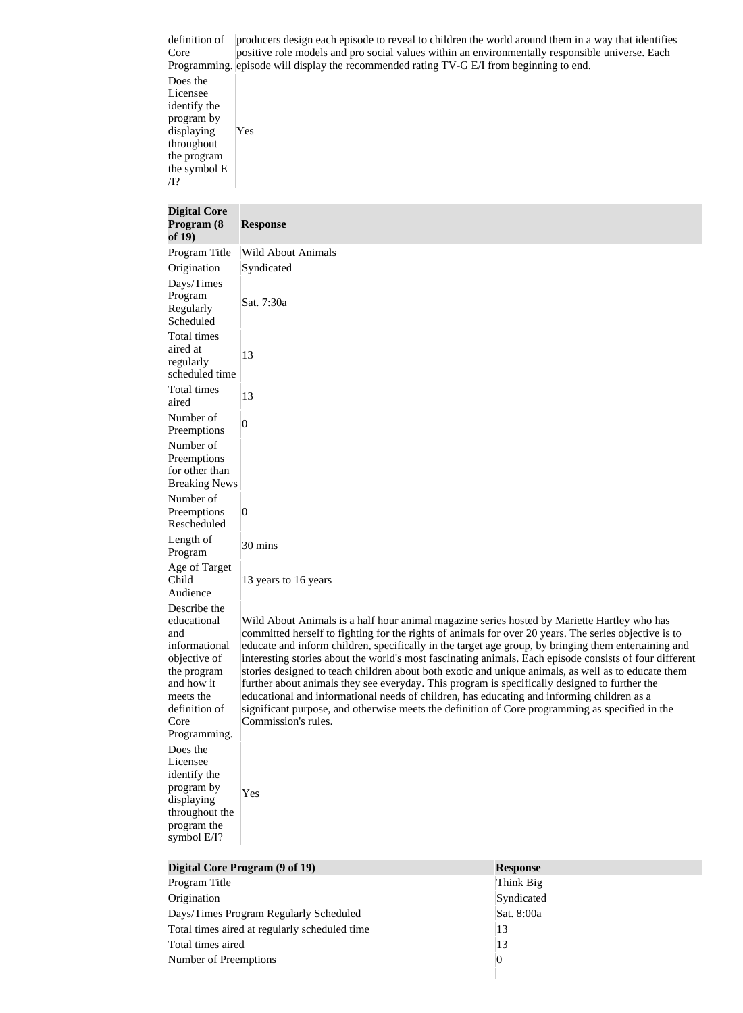definition of Core Programming. episode will display the recommended rating TV-G E/I from beginning to end. producers design each episode to reveal to children the world around them in a way that identifies positive role models and pro social values within an environmentally responsible universe. Each Does the Licensee identify the program by displaying throughout the program the symbol E /I? Yes **Digital Core Program (8 of 19) Response** Program Title Wild About Animals Origination Syndicated Days/Times Program Regularly Scheduled Sat. 7:30a Total times aired at regularly scheduled time 13 Total times  $\begin{array}{c|c}\n 13 \\
\end{array}$ Number of Preemptions  $\begin{vmatrix} 0 \\ 0 \end{vmatrix}$ Number of Preemptions for other than Breaking News Number of Preemptions Rescheduled  $\overline{0}$ Length of Program 30 mins Age of Target Child Audience 13 years to 16 years Describe the educational and informational objective of the program and how it meets the definition of Core Programming. Wild About Animals is a half hour animal magazine series hosted by Mariette Hartley who has committed herself to fighting for the rights of animals for over 20 years. The series objective is to educate and inform children, specifically in the target age group, by bringing them entertaining and interesting stories about the world's most fascinating animals. Each episode consists of four different stories designed to teach children about both exotic and unique animals, as well as to educate them further about animals they see everyday. This program is specifically designed to further the educational and informational needs of children, has educating and informing children as a significant purpose, and otherwise meets the definition of Core programming as specified in the Commission's rules. Does the Licensee identify the

program by displaying Yes

throughout the program the symbol E/I?

| Digital Core Program (9 of 19)                | <b>Response</b> |  |
|-----------------------------------------------|-----------------|--|
| Program Title                                 | Think Big       |  |
| Origination                                   | Syndicated      |  |
| Days/Times Program Regularly Scheduled        | Sat. 8:00a      |  |
| Total times aired at regularly scheduled time | 13              |  |
| Total times aired                             | 13              |  |
| Number of Preemptions                         | 0               |  |
|                                               |                 |  |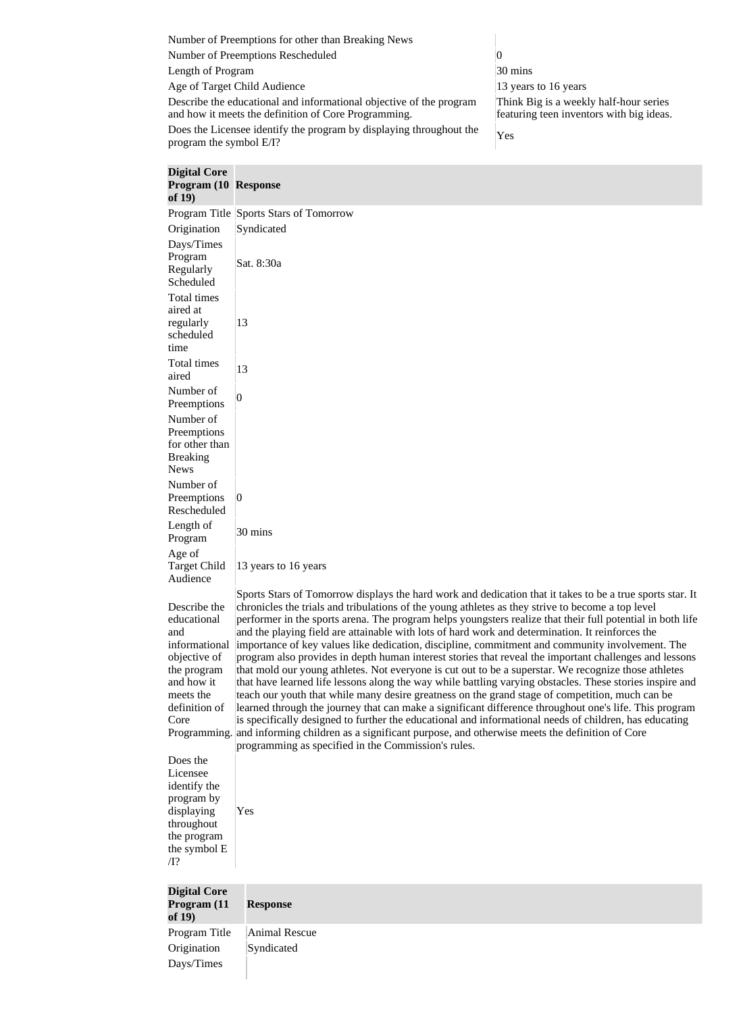Number of Preemptions for other than Breaking News Number of Preemptions Rescheduled 0 Length of Program 30 mins Age of Target Child Audience 13 years to 16 years to 16 years Describe the educational and informational objective of the program and how it meets the definition of Core Programming. Think Big is a weekly half-hour series featuring teen inventors with big ideas. Does the Licensee identify the program by displaying throughout the program the symbol  $E/I$ ?

| <b>Digital Core</b><br>Program (10 Response<br>of $19)$                                                                                |                                                                                                                                                                                                                                                                                                                                                                                                                                                                                                                                                                                                                                                                                                                                                                                                                                                                                                                                                                                                                                                                                                                                                                                                                                                                                                                                                             |
|----------------------------------------------------------------------------------------------------------------------------------------|-------------------------------------------------------------------------------------------------------------------------------------------------------------------------------------------------------------------------------------------------------------------------------------------------------------------------------------------------------------------------------------------------------------------------------------------------------------------------------------------------------------------------------------------------------------------------------------------------------------------------------------------------------------------------------------------------------------------------------------------------------------------------------------------------------------------------------------------------------------------------------------------------------------------------------------------------------------------------------------------------------------------------------------------------------------------------------------------------------------------------------------------------------------------------------------------------------------------------------------------------------------------------------------------------------------------------------------------------------------|
|                                                                                                                                        | Program Title Sports Stars of Tomorrow                                                                                                                                                                                                                                                                                                                                                                                                                                                                                                                                                                                                                                                                                                                                                                                                                                                                                                                                                                                                                                                                                                                                                                                                                                                                                                                      |
| Origination                                                                                                                            | Syndicated                                                                                                                                                                                                                                                                                                                                                                                                                                                                                                                                                                                                                                                                                                                                                                                                                                                                                                                                                                                                                                                                                                                                                                                                                                                                                                                                                  |
| Days/Times<br>Program<br>Regularly<br>Scheduled                                                                                        | Sat. 8:30a                                                                                                                                                                                                                                                                                                                                                                                                                                                                                                                                                                                                                                                                                                                                                                                                                                                                                                                                                                                                                                                                                                                                                                                                                                                                                                                                                  |
| <b>Total times</b><br>aired at<br>regularly<br>scheduled<br>time                                                                       | 13                                                                                                                                                                                                                                                                                                                                                                                                                                                                                                                                                                                                                                                                                                                                                                                                                                                                                                                                                                                                                                                                                                                                                                                                                                                                                                                                                          |
| Total times<br>aired                                                                                                                   | 13                                                                                                                                                                                                                                                                                                                                                                                                                                                                                                                                                                                                                                                                                                                                                                                                                                                                                                                                                                                                                                                                                                                                                                                                                                                                                                                                                          |
| Number of<br>Preemptions                                                                                                               | $\overline{0}$                                                                                                                                                                                                                                                                                                                                                                                                                                                                                                                                                                                                                                                                                                                                                                                                                                                                                                                                                                                                                                                                                                                                                                                                                                                                                                                                              |
| Number of<br>Preemptions<br>for other than<br><b>Breaking</b><br><b>News</b>                                                           |                                                                                                                                                                                                                                                                                                                                                                                                                                                                                                                                                                                                                                                                                                                                                                                                                                                                                                                                                                                                                                                                                                                                                                                                                                                                                                                                                             |
| Number of<br>Preemptions<br>Rescheduled                                                                                                | $\vert 0 \vert$                                                                                                                                                                                                                                                                                                                                                                                                                                                                                                                                                                                                                                                                                                                                                                                                                                                                                                                                                                                                                                                                                                                                                                                                                                                                                                                                             |
| Length of<br>Program                                                                                                                   | 30 mins                                                                                                                                                                                                                                                                                                                                                                                                                                                                                                                                                                                                                                                                                                                                                                                                                                                                                                                                                                                                                                                                                                                                                                                                                                                                                                                                                     |
| Age of<br><b>Target Child</b><br>Audience                                                                                              | 13 years to 16 years                                                                                                                                                                                                                                                                                                                                                                                                                                                                                                                                                                                                                                                                                                                                                                                                                                                                                                                                                                                                                                                                                                                                                                                                                                                                                                                                        |
| Describe the<br>educational<br>and<br>informational<br>objective of<br>the program<br>and how it<br>meets the<br>definition of<br>Core | Sports Stars of Tomorrow displays the hard work and dedication that it takes to be a true sports star. It<br>chronicles the trials and tribulations of the young athletes as they strive to become a top level<br>performer in the sports arena. The program helps youngsters realize that their full potential in both life<br>and the playing field are attainable with lots of hard work and determination. It reinforces the<br>importance of key values like dedication, discipline, commitment and community involvement. The<br>program also provides in depth human interest stories that reveal the important challenges and lessons<br>that mold our young athletes. Not everyone is cut out to be a superstar. We recognize those athletes<br>that have learned life lessons along the way while battling varying obstacles. These stories inspire and<br>teach our youth that while many desire greatness on the grand stage of competition, much can be<br>learned through the journey that can make a significant difference throughout one's life. This program<br>is specifically designed to further the educational and informational needs of children, has educating<br>Programming. and informing children as a significant purpose, and otherwise meets the definition of Core<br>programming as specified in the Commission's rules. |
| Does the<br>Licensee<br>identify the<br>program by<br>displaying<br>throughout<br>the program<br>the symbol E<br>$\overline{\Pi}$ ?    | Yes                                                                                                                                                                                                                                                                                                                                                                                                                                                                                                                                                                                                                                                                                                                                                                                                                                                                                                                                                                                                                                                                                                                                                                                                                                                                                                                                                         |

| <b>Digital Core</b><br>Program (11<br>of $19)$ | <b>Response</b> |
|------------------------------------------------|-----------------|
| Program Title                                  | Animal Rescue   |
| Origination                                    | Syndicated      |
| Days/Times                                     |                 |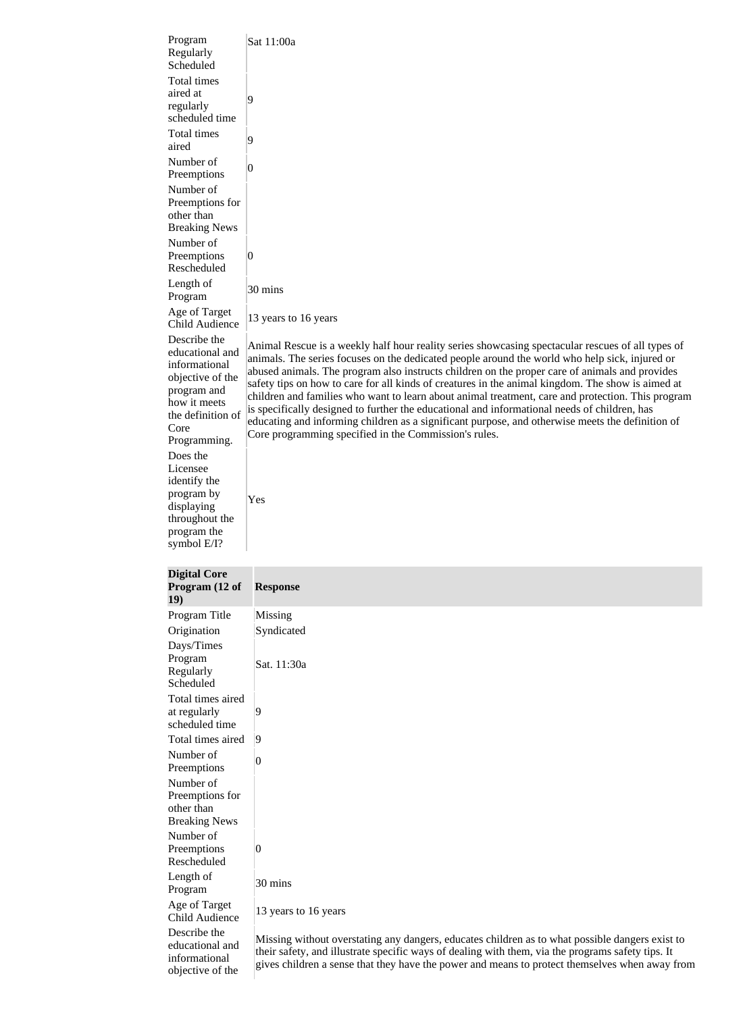| Program<br>Regularly<br>Scheduled                                                                                                                | Sat 11:00a                                                                                                                                                                                                                                                                                                                                                                                                                                                                                                                                                                                                                                                                                                                                                                   |
|--------------------------------------------------------------------------------------------------------------------------------------------------|------------------------------------------------------------------------------------------------------------------------------------------------------------------------------------------------------------------------------------------------------------------------------------------------------------------------------------------------------------------------------------------------------------------------------------------------------------------------------------------------------------------------------------------------------------------------------------------------------------------------------------------------------------------------------------------------------------------------------------------------------------------------------|
| Total times<br>aired at<br>regularly<br>scheduled time                                                                                           | 9                                                                                                                                                                                                                                                                                                                                                                                                                                                                                                                                                                                                                                                                                                                                                                            |
| Total times<br>aired                                                                                                                             | 9                                                                                                                                                                                                                                                                                                                                                                                                                                                                                                                                                                                                                                                                                                                                                                            |
| Number of<br>Preemptions                                                                                                                         | 0                                                                                                                                                                                                                                                                                                                                                                                                                                                                                                                                                                                                                                                                                                                                                                            |
| Number of<br>Preemptions for<br>other than<br><b>Breaking News</b>                                                                               |                                                                                                                                                                                                                                                                                                                                                                                                                                                                                                                                                                                                                                                                                                                                                                              |
| Number of<br>Preemptions<br>Rescheduled                                                                                                          | $\overline{0}$                                                                                                                                                                                                                                                                                                                                                                                                                                                                                                                                                                                                                                                                                                                                                               |
| Length of<br>Program                                                                                                                             | 30 mins                                                                                                                                                                                                                                                                                                                                                                                                                                                                                                                                                                                                                                                                                                                                                                      |
| Age of Target<br><b>Child Audience</b>                                                                                                           | 13 years to 16 years                                                                                                                                                                                                                                                                                                                                                                                                                                                                                                                                                                                                                                                                                                                                                         |
| Describe the<br>educational and<br>informational<br>objective of the<br>program and<br>how it meets<br>the definition of<br>Core<br>Programming. | Animal Rescue is a weekly half hour reality series showcasing spectacular rescues of all types of<br>animals. The series focuses on the dedicated people around the world who help sick, injured or<br>abused animals. The program also instructs children on the proper care of animals and provides<br>safety tips on how to care for all kinds of creatures in the animal kingdom. The show is aimed at<br>children and families who want to learn about animal treatment, care and protection. This program<br>is specifically designed to further the educational and informational needs of children, has<br>educating and informing children as a significant purpose, and otherwise meets the definition of<br>Core programming specified in the Commission's rules. |
| Does the<br>Licensee                                                                                                                             |                                                                                                                                                                                                                                                                                                                                                                                                                                                                                                                                                                                                                                                                                                                                                                              |
| identify the<br>program by<br>displaying<br>throughout the                                                                                       | Yes                                                                                                                                                                                                                                                                                                                                                                                                                                                                                                                                                                                                                                                                                                                                                                          |

| <b>Digital Core</b><br>Program (12 of<br><b>19</b> )               | <b>Response</b>                                                                                                                                                                                                                                                                                         |
|--------------------------------------------------------------------|---------------------------------------------------------------------------------------------------------------------------------------------------------------------------------------------------------------------------------------------------------------------------------------------------------|
| Program Title                                                      | Missing                                                                                                                                                                                                                                                                                                 |
| Origination                                                        | Syndicated                                                                                                                                                                                                                                                                                              |
| Days/Times<br>Program<br>Regularly<br>Scheduled                    | Sat. 11:30a                                                                                                                                                                                                                                                                                             |
| Total times aired<br>at regularly<br>scheduled time                | 9                                                                                                                                                                                                                                                                                                       |
| Total times aired                                                  | 9                                                                                                                                                                                                                                                                                                       |
| Number of<br>Preemptions                                           | 0                                                                                                                                                                                                                                                                                                       |
| Number of<br>Preemptions for<br>other than<br><b>Breaking News</b> |                                                                                                                                                                                                                                                                                                         |
| Number of<br>Preemptions<br>Rescheduled                            | $\vert 0 \vert$                                                                                                                                                                                                                                                                                         |
| Length of<br>Program                                               | 30 mins                                                                                                                                                                                                                                                                                                 |
| Age of Target<br><b>Child Audience</b>                             | 13 years to 16 years                                                                                                                                                                                                                                                                                    |
| Describe the<br>educational and<br>informational                   | Missing without overstating any dangers, educates children as to what possible dangers exist to<br>their safety, and illustrate specific ways of dealing with them, via the programs safety tips. It<br>iyya akildugu a ganga that thay haya tha nayyan and magna ta nugtaat thamaalyaa yyhan ayyay fua |

objective of the

program the symbol E/I?

gives children a sense that they have the power and means to protect themselves when away from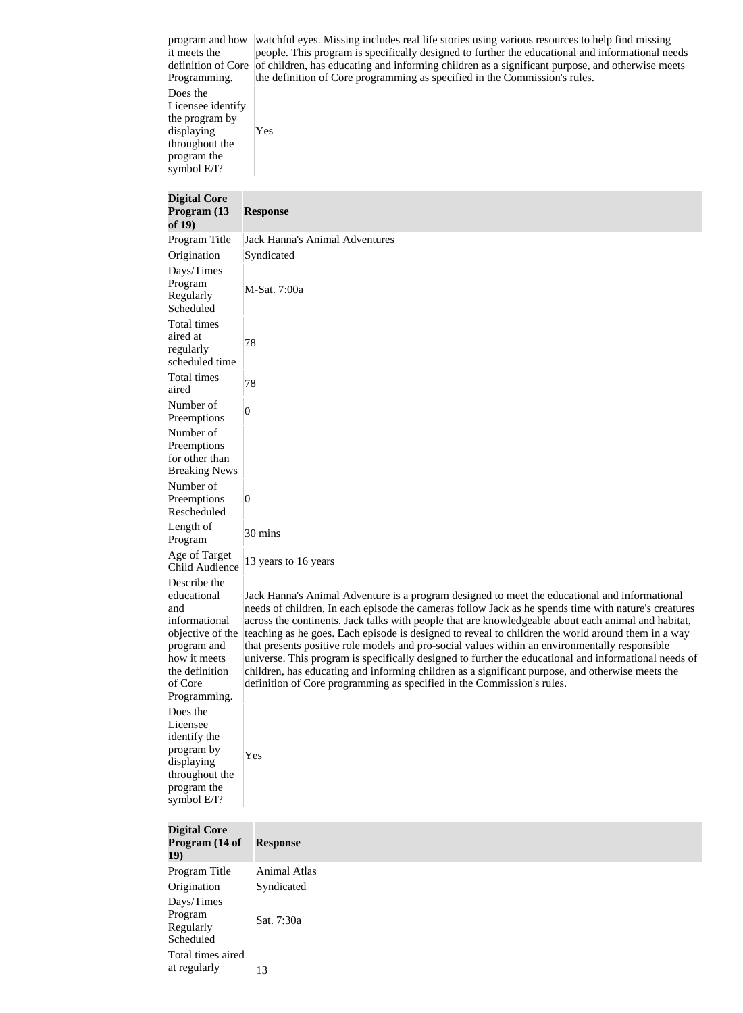program and how it meets the definition of Core Programming. watchful eyes. Missing includes real life stories using various resources to help find missing people. This program is specifically designed to further the educational and informational needs of children, has educating and informing children as a significant purpose, and otherwise meets the definition of Core programming as specified in the Commission's rules. Does the Licensee identify the program by

displaying throughout the program the symbol E/I?

Yes

**Digital Core Program (13 of 19) Response** Program Title Jack Hanna's Animal Adventures Origination Syndicated Days/Times Program Regularly Scheduled M-Sat. 7:00a Total times aired at regularly scheduled time 78 Total times aired 78 Number of Preemptions  $\begin{vmatrix} 0 \\ 0 \end{vmatrix}$ Number of Preemptions for other than Breaking News Number of Preemptions Rescheduled  $|0\rangle$ Length of Program  $30 \text{ mins}$ Age of Target  $T_{\text{g}}$  Child Audience  $|13 \rangle$  years to 16 years Describe the educational and informational objective of the program and how it meets the definition of Core Programming. Jack Hanna's Animal Adventure is a program designed to meet the educational and informational needs of children. In each episode the cameras follow Jack as he spends time with nature's creatures across the continents. Jack talks with people that are knowledgeable about each animal and habitat, teaching as he goes. Each episode is designed to reveal to children the world around them in a way that presents positive role models and pro-social values within an environmentally responsible universe. This program is specifically designed to further the educational and informational needs of children, has educating and informing children as a significant purpose, and otherwise meets the definition of Core programming as specified in the Commission's rules. Does the Licensee identify the program by displaying throughout the program the symbol E/I? Yes **Digital Core** 

| Program (14 of<br>19)                           | <b>Response</b> |
|-------------------------------------------------|-----------------|
| Program Title                                   | Animal Atlas    |
| Origination                                     | Syndicated      |
| Days/Times<br>Program<br>Regularly<br>Scheduled | Sat. 7:30a      |
| Total times aired<br>at regularly               | 13              |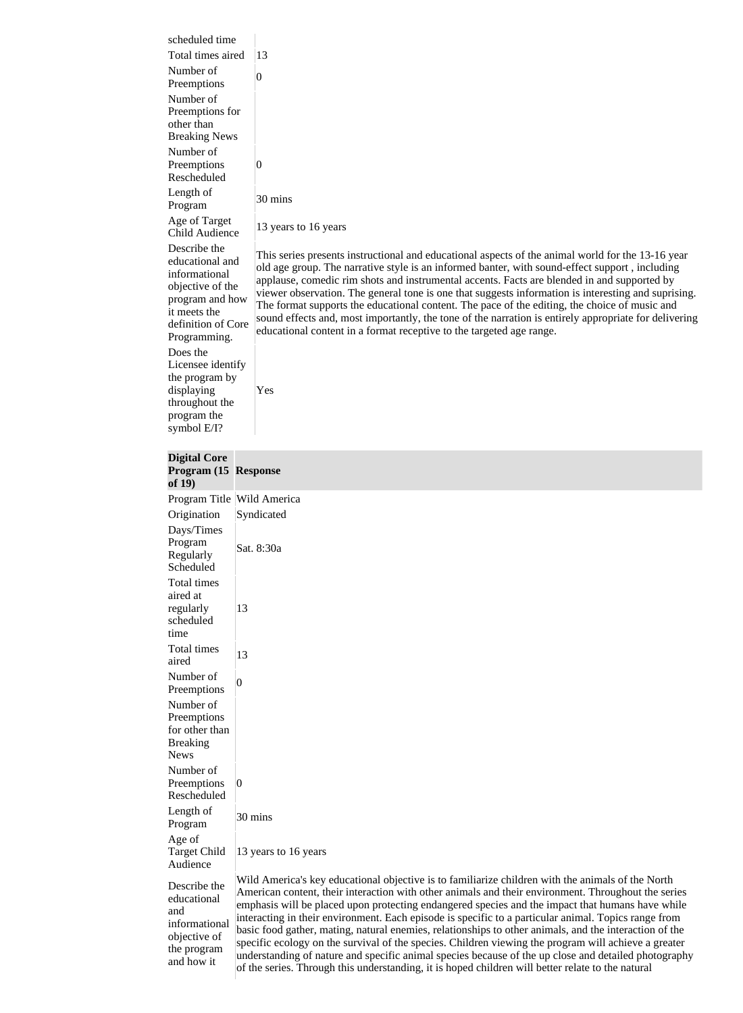| scheduled time                    |                                                                                                                                                                                                                |
|-----------------------------------|----------------------------------------------------------------------------------------------------------------------------------------------------------------------------------------------------------------|
| Total times aired                 | 13                                                                                                                                                                                                             |
| Number of                         | $\overline{0}$                                                                                                                                                                                                 |
| Preemptions                       |                                                                                                                                                                                                                |
| Number of                         |                                                                                                                                                                                                                |
| Preemptions for<br>other than     |                                                                                                                                                                                                                |
| <b>Breaking News</b>              |                                                                                                                                                                                                                |
| Number of                         |                                                                                                                                                                                                                |
| Preemptions                       | $\overline{0}$                                                                                                                                                                                                 |
| Rescheduled                       |                                                                                                                                                                                                                |
| Length of<br>Program              | 30 mins                                                                                                                                                                                                        |
| Age of Target                     |                                                                                                                                                                                                                |
| <b>Child Audience</b>             | 13 years to 16 years                                                                                                                                                                                           |
| Describe the                      | This series presents instructional and educational aspects of the animal world for the 13-16 year                                                                                                              |
| educational and                   | old age group. The narrative style is an informed banter, with sound-effect support, including                                                                                                                 |
| informational<br>objective of the | applause, comedic rim shots and instrumental accents. Facts are blended in and supported by                                                                                                                    |
| program and how                   | viewer observation. The general tone is one that suggests information is interesting and suprising.                                                                                                            |
| it meets the                      | The format supports the educational content. The pace of the editing, the choice of music and<br>sound effects and, most importantly, the tone of the narration is entirely appropriate for delivering         |
| definition of Core                | educational content in a format receptive to the targeted age range.                                                                                                                                           |
| Programming.<br>Does the          |                                                                                                                                                                                                                |
| Licensee identify                 |                                                                                                                                                                                                                |
| the program by                    |                                                                                                                                                                                                                |
| displaying                        | Yes                                                                                                                                                                                                            |
| throughout the<br>program the     |                                                                                                                                                                                                                |
| symbol E/I?                       |                                                                                                                                                                                                                |
|                                   |                                                                                                                                                                                                                |
| <b>Digital Core</b>               |                                                                                                                                                                                                                |
| Program (15 Response              |                                                                                                                                                                                                                |
|                                   |                                                                                                                                                                                                                |
| of $19)$                          |                                                                                                                                                                                                                |
|                                   | Program Title Wild America                                                                                                                                                                                     |
| Origination                       | Syndicated                                                                                                                                                                                                     |
| Days/Times<br>Program             |                                                                                                                                                                                                                |
| Regularly                         | Sat. 8:30a                                                                                                                                                                                                     |
| Scheduled                         |                                                                                                                                                                                                                |
| Total times                       |                                                                                                                                                                                                                |
| aired at                          | 13                                                                                                                                                                                                             |
| regularly<br>scheduled            |                                                                                                                                                                                                                |
| time                              |                                                                                                                                                                                                                |
| Total times                       | 13                                                                                                                                                                                                             |
| aired                             |                                                                                                                                                                                                                |
| Number of<br>Preemptions          | 0                                                                                                                                                                                                              |
| Number of                         |                                                                                                                                                                                                                |
| Preemptions                       |                                                                                                                                                                                                                |
| for other than                    |                                                                                                                                                                                                                |
| <b>Breaking</b><br><b>News</b>    |                                                                                                                                                                                                                |
| Number of                         |                                                                                                                                                                                                                |
| Preemptions                       | $\overline{0}$                                                                                                                                                                                                 |
| Rescheduled                       |                                                                                                                                                                                                                |
| Length of                         | 30 mins                                                                                                                                                                                                        |
| Program                           |                                                                                                                                                                                                                |
| Age of<br><b>Target Child</b>     | 13 years to 16 years                                                                                                                                                                                           |
| Audience                          |                                                                                                                                                                                                                |
|                                   | Wild America's key educational objective is to familiarize children with the animals of the North                                                                                                              |
| Describe the<br>educational       | American content, their interaction with other animals and their environment. Throughout the series                                                                                                            |
| and                               | emphasis will be placed upon protecting endangered species and the impact that humans have while                                                                                                               |
| informational<br>objective of     | interacting in their environment. Each episode is specific to a particular animal. Topics range from<br>basic food gather, mating, natural enemies, relationships to other animals, and the interaction of the |

the program and how it

understanding of nature and specific animal species because of the up close and detailed photography of the series. Through this understanding, it is hoped children will better relate to the natural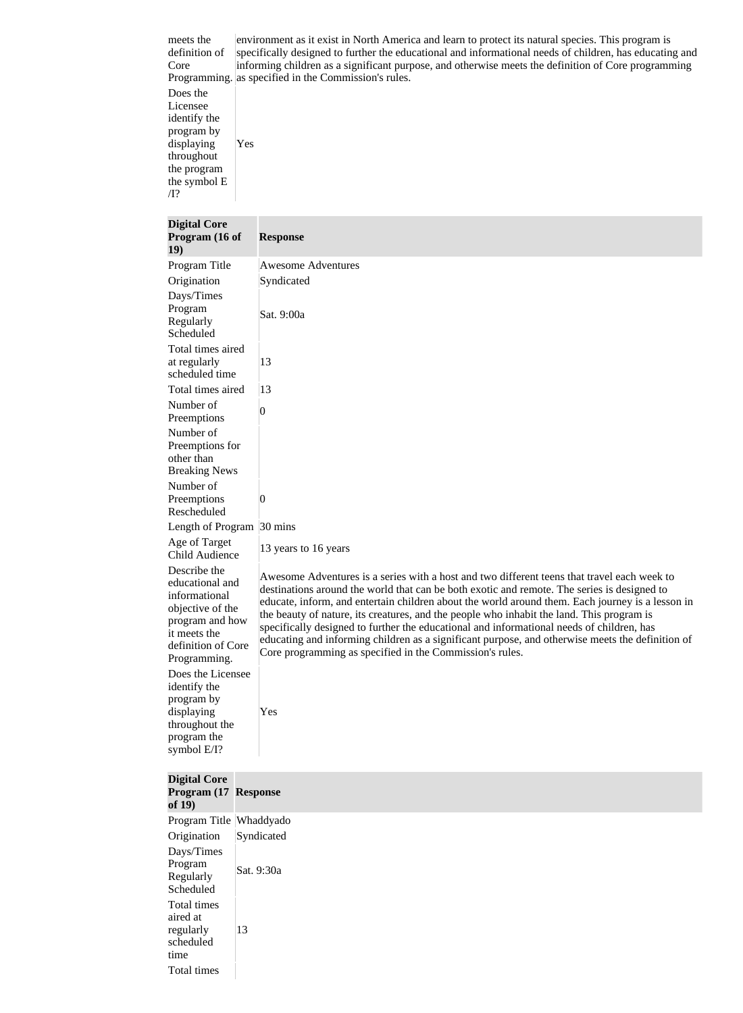meets the definition of Core

Programming. as specified in the Commission's rules. environment as it exist in North America and learn to protect its natural species. This program is specifically designed to further the educational and informational needs of children, has educating and informing children as a significant purpose, and otherwise meets the definition of Core programming

Does the Licensee identify the program by displaying throughout the program the symbol E /I? Yes

| <b>Digital Core</b><br>Program (16 of<br><b>19</b> )                                                                                          | <b>Response</b>                                                                                                                                                                                                                                                                                                                                                                                                                                                                                                                                                                                                                                          |
|-----------------------------------------------------------------------------------------------------------------------------------------------|----------------------------------------------------------------------------------------------------------------------------------------------------------------------------------------------------------------------------------------------------------------------------------------------------------------------------------------------------------------------------------------------------------------------------------------------------------------------------------------------------------------------------------------------------------------------------------------------------------------------------------------------------------|
| Program Title                                                                                                                                 | <b>Awesome Adventures</b>                                                                                                                                                                                                                                                                                                                                                                                                                                                                                                                                                                                                                                |
| Origination                                                                                                                                   | Syndicated                                                                                                                                                                                                                                                                                                                                                                                                                                                                                                                                                                                                                                               |
| Days/Times<br>Program<br>Regularly<br>Scheduled                                                                                               | Sat. 9:00a                                                                                                                                                                                                                                                                                                                                                                                                                                                                                                                                                                                                                                               |
| Total times aired<br>at regularly<br>scheduled time                                                                                           | 13                                                                                                                                                                                                                                                                                                                                                                                                                                                                                                                                                                                                                                                       |
| Total times aired                                                                                                                             | 13                                                                                                                                                                                                                                                                                                                                                                                                                                                                                                                                                                                                                                                       |
| Number of<br>Preemptions                                                                                                                      | 0                                                                                                                                                                                                                                                                                                                                                                                                                                                                                                                                                                                                                                                        |
| Number of<br>Preemptions for<br>other than<br><b>Breaking News</b>                                                                            |                                                                                                                                                                                                                                                                                                                                                                                                                                                                                                                                                                                                                                                          |
| Number of                                                                                                                                     |                                                                                                                                                                                                                                                                                                                                                                                                                                                                                                                                                                                                                                                          |
| Preemptions<br>Rescheduled                                                                                                                    | 0                                                                                                                                                                                                                                                                                                                                                                                                                                                                                                                                                                                                                                                        |
| Length of Program 30 mins                                                                                                                     |                                                                                                                                                                                                                                                                                                                                                                                                                                                                                                                                                                                                                                                          |
| Age of Target<br><b>Child Audience</b>                                                                                                        | 13 years to 16 years                                                                                                                                                                                                                                                                                                                                                                                                                                                                                                                                                                                                                                     |
| Describe the<br>educational and<br>informational<br>objective of the<br>program and how<br>it meets the<br>definition of Core<br>Programming. | Awesome Adventures is a series with a host and two different teens that travel each week to<br>destinations around the world that can be both exotic and remote. The series is designed to<br>educate, inform, and entertain children about the world around them. Each journey is a lesson in<br>the beauty of nature, its creatures, and the people who inhabit the land. This program is<br>specifically designed to further the educational and informational needs of children, has<br>educating and informing children as a significant purpose, and otherwise meets the definition of<br>Core programming as specified in the Commission's rules. |
| Does the Licensee<br>identify the<br>program by<br>displaying<br>throughout the<br>program the<br>symbol E/I?                                 | Yes                                                                                                                                                                                                                                                                                                                                                                                                                                                                                                                                                                                                                                                      |

| <b>Digital Core</b><br>Program (17 Response<br>of $19)$                  |            |
|--------------------------------------------------------------------------|------------|
| Program Title Whaddyado                                                  |            |
| Origination                                                              | Syndicated |
| Days/Times<br>Program<br>Regularly<br>Scheduled                          | Sat. 9:30a |
| Total times<br>aired at<br>regularly<br>scheduled<br>time<br>Total times | 13         |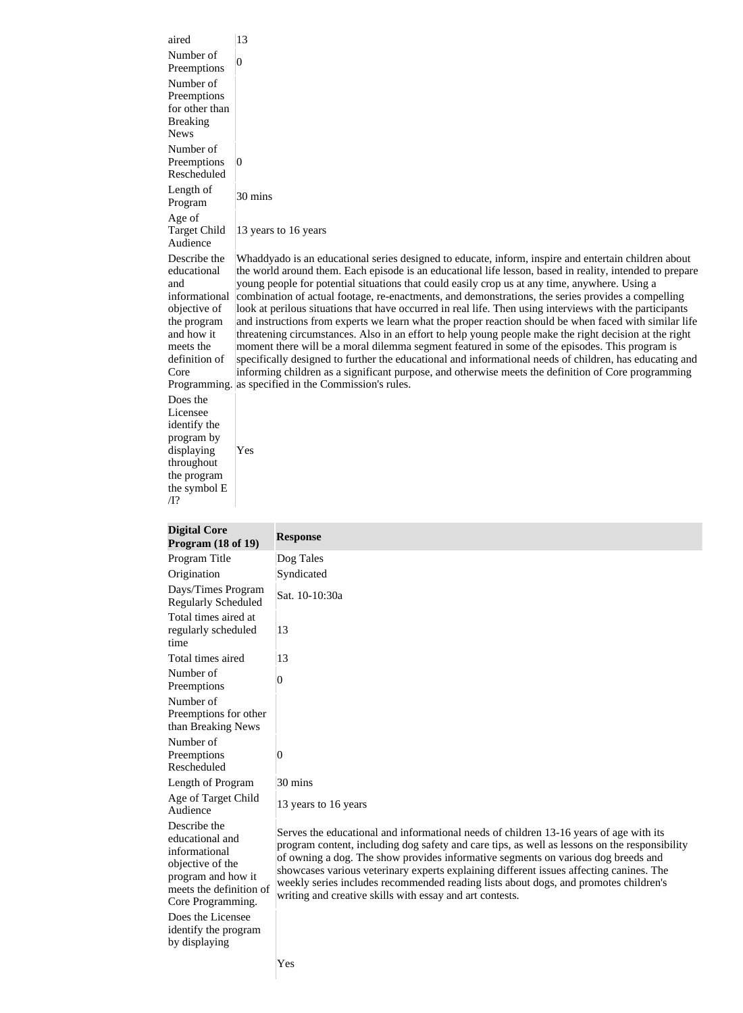| aired                                                                                                                                  | 13                                                                                                                                                                                                                                                                                                                                                                                                                                                                                                                                                                                                                                                                                                                                                                                                                                                                                                                                                                                                                                                                                                                                   |
|----------------------------------------------------------------------------------------------------------------------------------------|--------------------------------------------------------------------------------------------------------------------------------------------------------------------------------------------------------------------------------------------------------------------------------------------------------------------------------------------------------------------------------------------------------------------------------------------------------------------------------------------------------------------------------------------------------------------------------------------------------------------------------------------------------------------------------------------------------------------------------------------------------------------------------------------------------------------------------------------------------------------------------------------------------------------------------------------------------------------------------------------------------------------------------------------------------------------------------------------------------------------------------------|
| Number of<br>Preemptions                                                                                                               | $\overline{0}$                                                                                                                                                                                                                                                                                                                                                                                                                                                                                                                                                                                                                                                                                                                                                                                                                                                                                                                                                                                                                                                                                                                       |
| Number of<br>Preemptions<br>for other than<br><b>Breaking</b><br><b>News</b>                                                           |                                                                                                                                                                                                                                                                                                                                                                                                                                                                                                                                                                                                                                                                                                                                                                                                                                                                                                                                                                                                                                                                                                                                      |
| Number of<br>Preemptions<br>Rescheduled                                                                                                | $\overline{0}$                                                                                                                                                                                                                                                                                                                                                                                                                                                                                                                                                                                                                                                                                                                                                                                                                                                                                                                                                                                                                                                                                                                       |
| Length of<br>Program                                                                                                                   | 30 mins                                                                                                                                                                                                                                                                                                                                                                                                                                                                                                                                                                                                                                                                                                                                                                                                                                                                                                                                                                                                                                                                                                                              |
| Age of<br>Target Child<br>Audience                                                                                                     | 13 years to 16 years                                                                                                                                                                                                                                                                                                                                                                                                                                                                                                                                                                                                                                                                                                                                                                                                                                                                                                                                                                                                                                                                                                                 |
| Describe the<br>educational<br>and<br>informational<br>objective of<br>the program<br>and how it<br>meets the<br>definition of<br>Core | Whaddyado is an educational series designed to educate, inform, inspire and entertain children about<br>the world around them. Each episode is an educational life lesson, based in reality, intended to prepare<br>young people for potential situations that could easily crop us at any time, anywhere. Using a<br>combination of actual footage, re-enactments, and demonstrations, the series provides a compelling<br>look at perilous situations that have occurred in real life. Then using interviews with the participants<br>and instructions from experts we learn what the proper reaction should be when faced with similar life<br>threatening circumstances. Also in an effort to help young people make the right decision at the right<br>moment there will be a moral dilemma segment featured in some of the episodes. This program is<br>specifically designed to further the educational and informational needs of children, has educating and<br>informing children as a significant purpose, and otherwise meets the definition of Core programming<br>Programming. as specified in the Commission's rules. |
| Does the<br>Licensee<br>identify the<br>program by<br>displaying<br>throughout<br>the program                                          | Yes                                                                                                                                                                                                                                                                                                                                                                                                                                                                                                                                                                                                                                                                                                                                                                                                                                                                                                                                                                                                                                                                                                                                  |

| <b>Digital Core</b><br>Program $(18$ of $19)$                                                                                              | <b>Response</b>                                                                                                                                                                                                                                                                                                                                                                                                                                                                                                             |
|--------------------------------------------------------------------------------------------------------------------------------------------|-----------------------------------------------------------------------------------------------------------------------------------------------------------------------------------------------------------------------------------------------------------------------------------------------------------------------------------------------------------------------------------------------------------------------------------------------------------------------------------------------------------------------------|
| Program Title                                                                                                                              | Dog Tales                                                                                                                                                                                                                                                                                                                                                                                                                                                                                                                   |
| Origination                                                                                                                                | Syndicated                                                                                                                                                                                                                                                                                                                                                                                                                                                                                                                  |
| Days/Times Program<br><b>Regularly Scheduled</b>                                                                                           | Sat. 10-10:30a                                                                                                                                                                                                                                                                                                                                                                                                                                                                                                              |
| Total times aired at<br>regularly scheduled<br>time                                                                                        | 13                                                                                                                                                                                                                                                                                                                                                                                                                                                                                                                          |
| Total times aired                                                                                                                          | 13                                                                                                                                                                                                                                                                                                                                                                                                                                                                                                                          |
| Number of<br>Preemptions                                                                                                                   | 0                                                                                                                                                                                                                                                                                                                                                                                                                                                                                                                           |
| Number of<br>Preemptions for other<br>than Breaking News                                                                                   |                                                                                                                                                                                                                                                                                                                                                                                                                                                                                                                             |
| Number of<br>Preemptions<br>Rescheduled                                                                                                    | 0                                                                                                                                                                                                                                                                                                                                                                                                                                                                                                                           |
| Length of Program                                                                                                                          | 30 mins                                                                                                                                                                                                                                                                                                                                                                                                                                                                                                                     |
| Age of Target Child<br>Audience                                                                                                            | 13 years to 16 years                                                                                                                                                                                                                                                                                                                                                                                                                                                                                                        |
| Describe the<br>educational and<br>informational<br>objective of the<br>program and how it<br>meets the definition of<br>Core Programming. | Serves the educational and informational needs of children 13-16 years of age with its<br>program content, including dog safety and care tips, as well as lessons on the responsibility<br>of owning a dog. The show provides informative segments on various dog breeds and<br>showcases various veterinary experts explaining different issues affecting canines. The<br>weekly series includes recommended reading lists about dogs, and promotes children's<br>writing and creative skills with essay and art contests. |

Yes

Does the Licensee identify the program

by displaying

the symbol E

/I?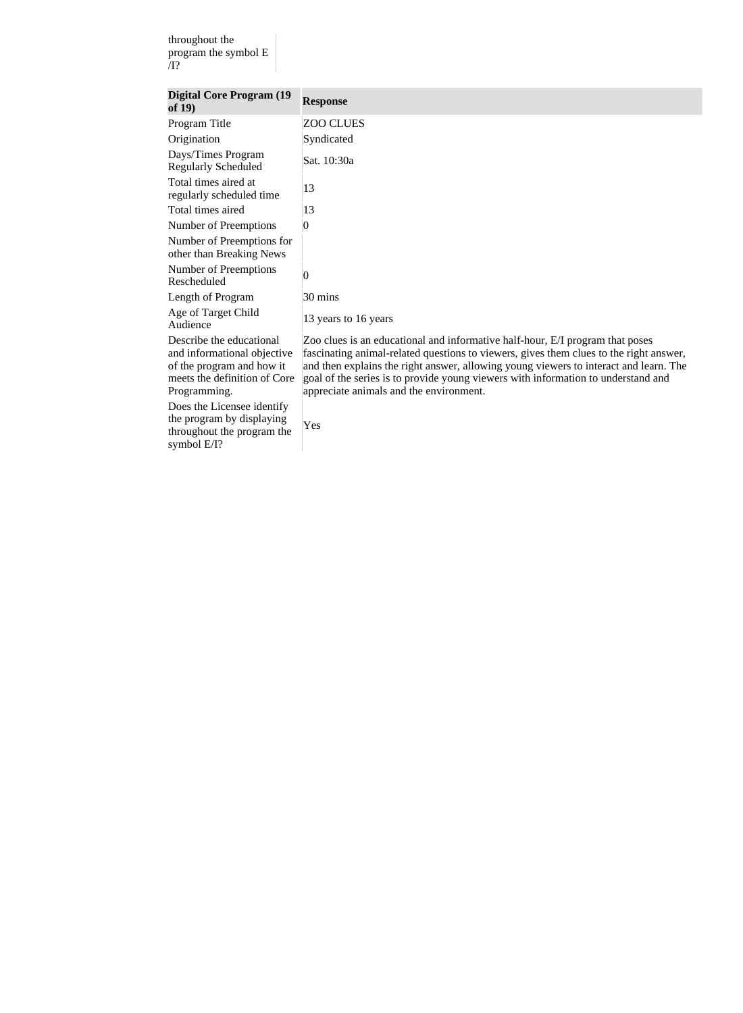throughout the program the symbol E /I?

| <b>Digital Core Program (19)</b><br>of $19)$                                                                                         | <b>Response</b>                                                                                                                                                                                                                                                                                                                                                                                  |
|--------------------------------------------------------------------------------------------------------------------------------------|--------------------------------------------------------------------------------------------------------------------------------------------------------------------------------------------------------------------------------------------------------------------------------------------------------------------------------------------------------------------------------------------------|
| Program Title                                                                                                                        | <b>ZOO CLUES</b>                                                                                                                                                                                                                                                                                                                                                                                 |
| Origination                                                                                                                          | Syndicated                                                                                                                                                                                                                                                                                                                                                                                       |
| Days/Times Program<br><b>Regularly Scheduled</b>                                                                                     | Sat. 10:30a                                                                                                                                                                                                                                                                                                                                                                                      |
| Total times aired at<br>regularly scheduled time                                                                                     | 13                                                                                                                                                                                                                                                                                                                                                                                               |
| Total times aired                                                                                                                    | 13                                                                                                                                                                                                                                                                                                                                                                                               |
| Number of Preemptions                                                                                                                | $\overline{0}$                                                                                                                                                                                                                                                                                                                                                                                   |
| Number of Preemptions for<br>other than Breaking News                                                                                |                                                                                                                                                                                                                                                                                                                                                                                                  |
| Number of Preemptions<br>Rescheduled                                                                                                 | $\overline{0}$                                                                                                                                                                                                                                                                                                                                                                                   |
| Length of Program                                                                                                                    | 30 mins                                                                                                                                                                                                                                                                                                                                                                                          |
| Age of Target Child<br>Audience                                                                                                      | 13 years to 16 years                                                                                                                                                                                                                                                                                                                                                                             |
| Describe the educational<br>and informational objective<br>of the program and how it<br>meets the definition of Core<br>Programming. | Zoo clues is an educational and informative half-hour, E/I program that poses<br>fascinating animal-related questions to viewers, gives them clues to the right answer,<br>and then explains the right answer, allowing young viewers to interact and learn. The<br>goal of the series is to provide young viewers with information to understand and<br>appreciate animals and the environment. |
| Does the Licensee identify<br>the program by displaying<br>throughout the program the<br>symbol $E/I$ ?                              | Yes                                                                                                                                                                                                                                                                                                                                                                                              |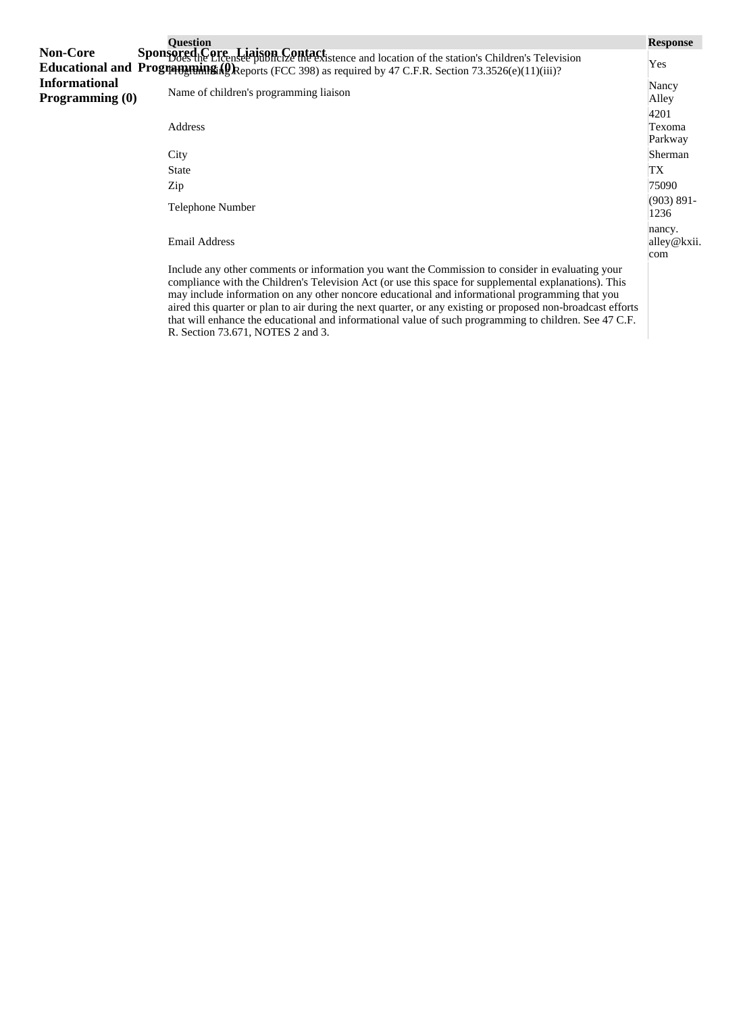|                                         | <b>Question</b>                                                                                                                                                                                                                                                                                              | <b>Response</b>              |
|-----------------------------------------|--------------------------------------------------------------------------------------------------------------------------------------------------------------------------------------------------------------------------------------------------------------------------------------------------------------|------------------------------|
| <b>Non-Core</b>                         | Sponsored Core Liaison Contact.<br>Sponsored Core Licensee publicize the existence and location of the station's Children's Television<br><b>Educational and Programming (Q)</b> Reports (FCC 398) as required by 47 C.F.R. Section 73.3526(e)(11)(iii)?                                                     | Yes                          |
| <b>Informational</b><br>Programming (0) | Name of children's programming liaison                                                                                                                                                                                                                                                                       | Nancy<br>Alley               |
|                                         | Address                                                                                                                                                                                                                                                                                                      | 4201<br>Texoma<br>Parkway    |
|                                         | City                                                                                                                                                                                                                                                                                                         | Sherman                      |
|                                         | <b>State</b>                                                                                                                                                                                                                                                                                                 | TX                           |
|                                         | Zip                                                                                                                                                                                                                                                                                                          | 75090                        |
|                                         | Telephone Number                                                                                                                                                                                                                                                                                             | $(903) 891 -$<br>1236        |
|                                         | <b>Email Address</b>                                                                                                                                                                                                                                                                                         | nancy.<br>alley@kxii.<br>com |
|                                         | Include any other comments or information you want the Commission to consider in evaluating your<br>compliance with the Children's Television Act (or use this space for supplemental explanations). This<br>may include information on any other noncore educational and informational programming that you |                              |

R. Section 73.671, NOTES 2 and 3.

aired this quarter or plan to air during the next quarter, or any existing or proposed non-broadcast efforts that will enhance the educational and informational value of such programming to children. See 47 C.F.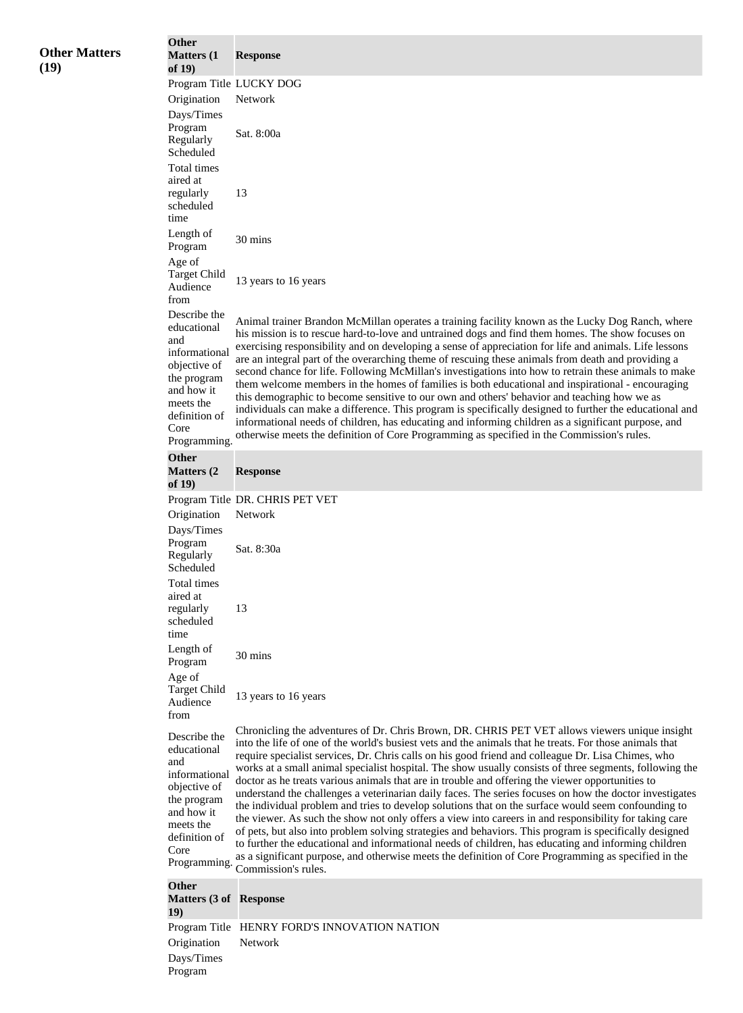| <b>Other Matters</b><br>(19) | <b>Other</b><br><b>Matters</b> (1<br>of $19)$                                                                                                          | <b>Response</b>                                                                                                                                                                                                                                                                                                                                                                                                                                                                                                                                                                                                                                                                                                                                                                                                                                                                                                                                                                                                                                    |
|------------------------------|--------------------------------------------------------------------------------------------------------------------------------------------------------|----------------------------------------------------------------------------------------------------------------------------------------------------------------------------------------------------------------------------------------------------------------------------------------------------------------------------------------------------------------------------------------------------------------------------------------------------------------------------------------------------------------------------------------------------------------------------------------------------------------------------------------------------------------------------------------------------------------------------------------------------------------------------------------------------------------------------------------------------------------------------------------------------------------------------------------------------------------------------------------------------------------------------------------------------|
|                              |                                                                                                                                                        | Program Title LUCKY DOG                                                                                                                                                                                                                                                                                                                                                                                                                                                                                                                                                                                                                                                                                                                                                                                                                                                                                                                                                                                                                            |
|                              | Origination                                                                                                                                            | Network                                                                                                                                                                                                                                                                                                                                                                                                                                                                                                                                                                                                                                                                                                                                                                                                                                                                                                                                                                                                                                            |
|                              | Days/Times                                                                                                                                             |                                                                                                                                                                                                                                                                                                                                                                                                                                                                                                                                                                                                                                                                                                                                                                                                                                                                                                                                                                                                                                                    |
|                              | Program<br>Regularly<br>Scheduled                                                                                                                      | Sat. 8:00a                                                                                                                                                                                                                                                                                                                                                                                                                                                                                                                                                                                                                                                                                                                                                                                                                                                                                                                                                                                                                                         |
|                              | Total times                                                                                                                                            |                                                                                                                                                                                                                                                                                                                                                                                                                                                                                                                                                                                                                                                                                                                                                                                                                                                                                                                                                                                                                                                    |
|                              | aired at<br>regularly<br>scheduled<br>time                                                                                                             | 13                                                                                                                                                                                                                                                                                                                                                                                                                                                                                                                                                                                                                                                                                                                                                                                                                                                                                                                                                                                                                                                 |
|                              | Length of<br>Program                                                                                                                                   | 30 mins                                                                                                                                                                                                                                                                                                                                                                                                                                                                                                                                                                                                                                                                                                                                                                                                                                                                                                                                                                                                                                            |
|                              | Age of                                                                                                                                                 |                                                                                                                                                                                                                                                                                                                                                                                                                                                                                                                                                                                                                                                                                                                                                                                                                                                                                                                                                                                                                                                    |
|                              | <b>Target Child</b><br>Audience<br>from                                                                                                                | 13 years to 16 years                                                                                                                                                                                                                                                                                                                                                                                                                                                                                                                                                                                                                                                                                                                                                                                                                                                                                                                                                                                                                               |
|                              | Describe the<br>educational<br>and<br>informational<br>objective of<br>the program<br>and how it<br>meets the<br>definition of<br>Core<br>Programming. | Animal trainer Brandon McMillan operates a training facility known as the Lucky Dog Ranch, where<br>his mission is to rescue hard-to-love and untrained dogs and find them homes. The show focuses on<br>exercising responsibility and on developing a sense of appreciation for life and animals. Life lessons<br>are an integral part of the overarching theme of rescuing these animals from death and providing a<br>second chance for life. Following McMillan's investigations into how to retrain these animals to make<br>them welcome members in the homes of families is both educational and inspirational - encouraging<br>this demographic to become sensitive to our own and others' behavior and teaching how we as<br>individuals can make a difference. This program is specifically designed to further the educational and<br>informational needs of children, has educating and informing children as a significant purpose, and<br>otherwise meets the definition of Core Programming as specified in the Commission's rules. |
|                              | <b>Other</b>                                                                                                                                           |                                                                                                                                                                                                                                                                                                                                                                                                                                                                                                                                                                                                                                                                                                                                                                                                                                                                                                                                                                                                                                                    |
|                              | <b>Matters</b> (2)<br>of $19)$                                                                                                                         | <b>Response</b>                                                                                                                                                                                                                                                                                                                                                                                                                                                                                                                                                                                                                                                                                                                                                                                                                                                                                                                                                                                                                                    |
|                              |                                                                                                                                                        | Program Title DR. CHRIS PET VET                                                                                                                                                                                                                                                                                                                                                                                                                                                                                                                                                                                                                                                                                                                                                                                                                                                                                                                                                                                                                    |
|                              | Origination                                                                                                                                            | Network                                                                                                                                                                                                                                                                                                                                                                                                                                                                                                                                                                                                                                                                                                                                                                                                                                                                                                                                                                                                                                            |
|                              | Days/Times<br>Program<br>Regularly<br>Scheduled                                                                                                        | Sat. 8:30a                                                                                                                                                                                                                                                                                                                                                                                                                                                                                                                                                                                                                                                                                                                                                                                                                                                                                                                                                                                                                                         |
|                              | Total times                                                                                                                                            |                                                                                                                                                                                                                                                                                                                                                                                                                                                                                                                                                                                                                                                                                                                                                                                                                                                                                                                                                                                                                                                    |
|                              | aired at<br>regularly<br>scheduled<br>time                                                                                                             | 13                                                                                                                                                                                                                                                                                                                                                                                                                                                                                                                                                                                                                                                                                                                                                                                                                                                                                                                                                                                                                                                 |
|                              | Length of                                                                                                                                              | 30 mins                                                                                                                                                                                                                                                                                                                                                                                                                                                                                                                                                                                                                                                                                                                                                                                                                                                                                                                                                                                                                                            |
|                              | Program                                                                                                                                                |                                                                                                                                                                                                                                                                                                                                                                                                                                                                                                                                                                                                                                                                                                                                                                                                                                                                                                                                                                                                                                                    |
|                              | Age of<br><b>Target Child</b><br>Audience<br>from                                                                                                      | 13 years to 16 years                                                                                                                                                                                                                                                                                                                                                                                                                                                                                                                                                                                                                                                                                                                                                                                                                                                                                                                                                                                                                               |
|                              | Describe the<br>educational<br>and<br>informational<br>objective of<br>the program                                                                     | Chronicling the adventures of Dr. Chris Brown, DR. CHRIS PET VET allows viewers unique insight<br>into the life of one of the world's busiest vets and the animals that he treats. For those animals that<br>require specialist services, Dr. Chris calls on his good friend and colleague Dr. Lisa Chimes, who<br>works at a small animal specialist hospital. The show usually consists of three segments, following the<br>doctor as he treats various animals that are in trouble and offering the viewer opportunities to<br>understand the challenges a veterinarian daily faces. The series focuses on how the doctor investigates                                                                                                                                                                                                                                                                                                                                                                                                          |
|                              | and how it<br>meets the<br>definition of<br>Core                                                                                                       | the individual problem and tries to develop solutions that on the surface would seem confounding to<br>the viewer. As such the show not only offers a view into careers in and responsibility for taking care<br>of pets, but also into problem solving strategies and behaviors. This program is specifically designed<br>to further the educational and informational needs of children, has educating and informing children<br>as a significant purpose, and otherwise meets the definition of Core Programming as specified in the                                                                                                                                                                                                                                                                                                                                                                                                                                                                                                            |
|                              | Programming.                                                                                                                                           | Commission's rules.                                                                                                                                                                                                                                                                                                                                                                                                                                                                                                                                                                                                                                                                                                                                                                                                                                                                                                                                                                                                                                |
|                              | <b>Other</b><br><b>Matters (3 of Response</b><br>19)                                                                                                   |                                                                                                                                                                                                                                                                                                                                                                                                                                                                                                                                                                                                                                                                                                                                                                                                                                                                                                                                                                                                                                                    |
|                              |                                                                                                                                                        | Program Title HENRY FORD'S INNOVATION NATION                                                                                                                                                                                                                                                                                                                                                                                                                                                                                                                                                                                                                                                                                                                                                                                                                                                                                                                                                                                                       |
|                              | Origination                                                                                                                                            | Network                                                                                                                                                                                                                                                                                                                                                                                                                                                                                                                                                                                                                                                                                                                                                                                                                                                                                                                                                                                                                                            |
|                              | Days/Times                                                                                                                                             |                                                                                                                                                                                                                                                                                                                                                                                                                                                                                                                                                                                                                                                                                                                                                                                                                                                                                                                                                                                                                                                    |

Program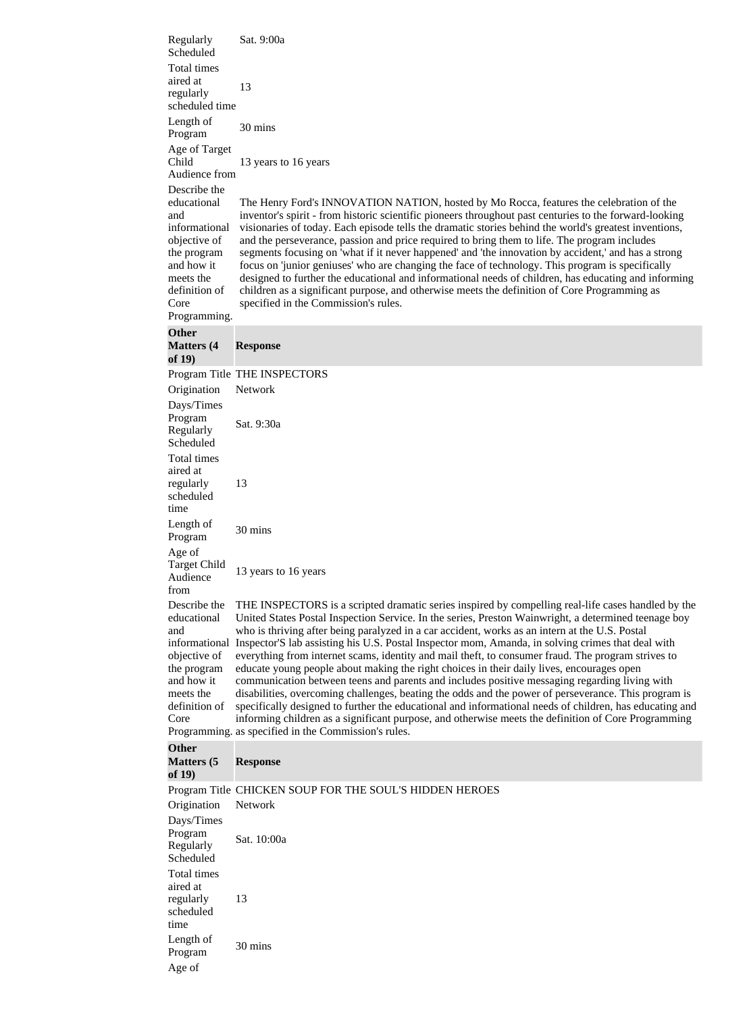| Regularly<br>Scheduled                                                                                        | Sat. 9:00a                                                                                                                                                                                                                                                                                                                                                                                                                                                                                                                                                                                                                                                                                                                    |
|---------------------------------------------------------------------------------------------------------------|-------------------------------------------------------------------------------------------------------------------------------------------------------------------------------------------------------------------------------------------------------------------------------------------------------------------------------------------------------------------------------------------------------------------------------------------------------------------------------------------------------------------------------------------------------------------------------------------------------------------------------------------------------------------------------------------------------------------------------|
| Total times<br>aired at<br>regularly                                                                          | 13                                                                                                                                                                                                                                                                                                                                                                                                                                                                                                                                                                                                                                                                                                                            |
| scheduled time                                                                                                |                                                                                                                                                                                                                                                                                                                                                                                                                                                                                                                                                                                                                                                                                                                               |
| Length of<br>Program                                                                                          | 30 mins                                                                                                                                                                                                                                                                                                                                                                                                                                                                                                                                                                                                                                                                                                                       |
| Age of Target<br>Child<br>Audience from                                                                       | 13 years to 16 years                                                                                                                                                                                                                                                                                                                                                                                                                                                                                                                                                                                                                                                                                                          |
| Describe the<br>educational<br>and<br>informational<br>objective of<br>the program<br>and how it<br>meets the | The Henry Ford's INNOVATION NATION, hosted by Mo Rocca, features the celebration of the<br>inventor's spirit - from historic scientific pioneers throughout past centuries to the forward-looking<br>visionaries of today. Each episode tells the dramatic stories behind the world's greatest inventions,<br>and the perseverance, passion and price required to bring them to life. The program includes<br>segments focusing on 'what if it never happened' and 'the innovation by accident,' and has a strong<br>focus on 'junior geniuses' who are changing the face of technology. This program is specifically<br>designed to further the educational and informational needs of children, has educating and informing |
| definition of<br>Core<br>Programming.                                                                         | children as a significant purpose, and otherwise meets the definition of Core Programming as<br>specified in the Commission's rules.                                                                                                                                                                                                                                                                                                                                                                                                                                                                                                                                                                                          |
| <b>Other</b><br><b>Matters (4)</b><br>of $19)$                                                                | <b>Response</b>                                                                                                                                                                                                                                                                                                                                                                                                                                                                                                                                                                                                                                                                                                               |
|                                                                                                               | Program Title THE INSPECTORS                                                                                                                                                                                                                                                                                                                                                                                                                                                                                                                                                                                                                                                                                                  |
| Origination<br>Days/Times<br>Program<br>Regularly<br>Scheduled                                                | Network<br>Sat. 9:30a                                                                                                                                                                                                                                                                                                                                                                                                                                                                                                                                                                                                                                                                                                         |
| Total times<br>aired at<br>regularly<br>scheduled<br>time                                                     | 13                                                                                                                                                                                                                                                                                                                                                                                                                                                                                                                                                                                                                                                                                                                            |
| Length of<br>Program                                                                                          | 30 mins                                                                                                                                                                                                                                                                                                                                                                                                                                                                                                                                                                                                                                                                                                                       |
| Age of<br><b>Target Child</b><br>Audience<br>from                                                             | 13 years to 16 years                                                                                                                                                                                                                                                                                                                                                                                                                                                                                                                                                                                                                                                                                                          |
| Describe the<br>educational<br>and<br>objective of<br>the program                                             | THE INSPECTORS is a scripted dramatic series inspired by compelling real-life cases handled by the<br>United States Postal Inspection Service. In the series, Preston Wainwright, a determined teenage boy<br>who is thriving after being paralyzed in a car accident, works as an intern at the U.S. Postal<br>informational Inspector'S lab assisting his U.S. Postal Inspector mom, Amanda, in solving crimes that deal with<br>everything from internet scams, identity and mail theft, to consumer fraud. The program strives to                                                                                                                                                                                         |
| and how it<br>meets the<br>definition of<br>Core                                                              | educate young people about making the right choices in their daily lives, encourages open<br>communication between teens and parents and includes positive messaging regarding living with<br>disabilities, overcoming challenges, beating the odds and the power of perseverance. This program is<br>specifically designed to further the educational and informational needs of children, has educating and<br>informing children as a significant purpose, and otherwise meets the definition of Core Programming<br>Programming. as specified in the Commission's rules.                                                                                                                                                  |
| <b>Other</b><br><b>Matters</b> (5<br>of $19)$                                                                 | <b>Response</b>                                                                                                                                                                                                                                                                                                                                                                                                                                                                                                                                                                                                                                                                                                               |
|                                                                                                               | Program Title CHICKEN SOUP FOR THE SOUL'S HIDDEN HEROES                                                                                                                                                                                                                                                                                                                                                                                                                                                                                                                                                                                                                                                                       |
| Origination                                                                                                   | Network                                                                                                                                                                                                                                                                                                                                                                                                                                                                                                                                                                                                                                                                                                                       |
| Days/Times<br>Program<br>Regularly<br>Scheduled                                                               | Sat. 10:00a                                                                                                                                                                                                                                                                                                                                                                                                                                                                                                                                                                                                                                                                                                                   |
| Total times<br>aired at<br>regularly<br>scheduled<br>time                                                     | 13                                                                                                                                                                                                                                                                                                                                                                                                                                                                                                                                                                                                                                                                                                                            |
| Length of<br>Program<br>Age of                                                                                | 30 mins                                                                                                                                                                                                                                                                                                                                                                                                                                                                                                                                                                                                                                                                                                                       |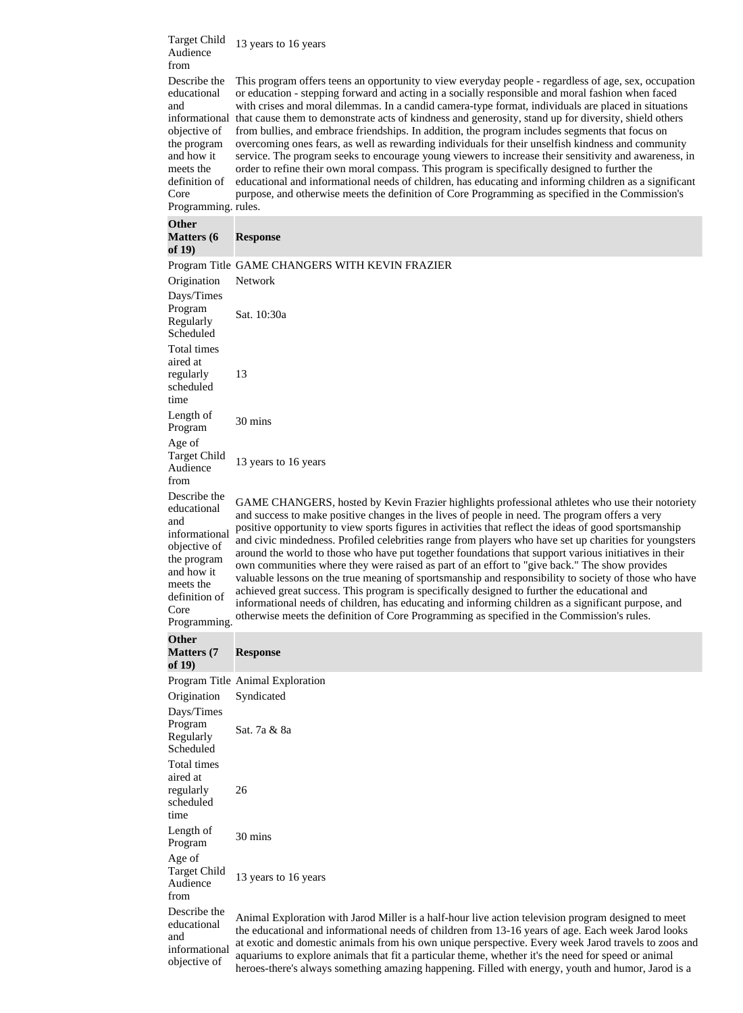Target Child Audience 13 years to 16 years

from Describe the educational and objective of the program and how it meets the definition of Core

informational that cause them to demonstrate acts of kindness and generosity, stand up for diversity, shield others Programming. rules. This program offers teens an opportunity to view everyday people - regardless of age, sex, occupation or education - stepping forward and acting in a socially responsible and moral fashion when faced with crises and moral dilemmas. In a candid camera-type format, individuals are placed in situations from bullies, and embrace friendships. In addition, the program includes segments that focus on overcoming ones fears, as well as rewarding individuals for their unselfish kindness and community service. The program seeks to encourage young viewers to increase their sensitivity and awareness, in order to refine their own moral compass. This program is specifically designed to further the educational and informational needs of children, has educating and informing children as a significant purpose, and otherwise meets the definition of Core Programming as specified in the Commission's

**Other** 

| <b>OUIEI</b><br><b>Matters</b> (6)<br>of $19)$                                                                                                         | <b>Response</b>                                                                                                                                                                                                                                                                                                                                                                                                                                                                                                                                                                                                                                                                                                                                                                                                                                                                                                                                                                                                                               |
|--------------------------------------------------------------------------------------------------------------------------------------------------------|-----------------------------------------------------------------------------------------------------------------------------------------------------------------------------------------------------------------------------------------------------------------------------------------------------------------------------------------------------------------------------------------------------------------------------------------------------------------------------------------------------------------------------------------------------------------------------------------------------------------------------------------------------------------------------------------------------------------------------------------------------------------------------------------------------------------------------------------------------------------------------------------------------------------------------------------------------------------------------------------------------------------------------------------------|
|                                                                                                                                                        | Program Title GAME CHANGERS WITH KEVIN FRAZIER                                                                                                                                                                                                                                                                                                                                                                                                                                                                                                                                                                                                                                                                                                                                                                                                                                                                                                                                                                                                |
| Origination                                                                                                                                            | Network                                                                                                                                                                                                                                                                                                                                                                                                                                                                                                                                                                                                                                                                                                                                                                                                                                                                                                                                                                                                                                       |
| Days/Times<br>Program<br>Regularly<br>Scheduled                                                                                                        | Sat. 10:30a                                                                                                                                                                                                                                                                                                                                                                                                                                                                                                                                                                                                                                                                                                                                                                                                                                                                                                                                                                                                                                   |
| Total times<br>aired at<br>regularly<br>scheduled<br>time                                                                                              | 13                                                                                                                                                                                                                                                                                                                                                                                                                                                                                                                                                                                                                                                                                                                                                                                                                                                                                                                                                                                                                                            |
| Length of<br>Program                                                                                                                                   | 30 mins                                                                                                                                                                                                                                                                                                                                                                                                                                                                                                                                                                                                                                                                                                                                                                                                                                                                                                                                                                                                                                       |
| Age of<br><b>Target Child</b><br>Audience<br>from                                                                                                      | 13 years to 16 years                                                                                                                                                                                                                                                                                                                                                                                                                                                                                                                                                                                                                                                                                                                                                                                                                                                                                                                                                                                                                          |
| Describe the<br>educational<br>and<br>informational<br>objective of<br>the program<br>and how it<br>meets the<br>definition of<br>Core<br>Programming. | GAME CHANGERS, hosted by Kevin Frazier highlights professional athletes who use their notoriety<br>and success to make positive changes in the lives of people in need. The program offers a very<br>positive opportunity to view sports figures in activities that reflect the ideas of good sportsmanship<br>and civic mindedness. Profiled celebrities range from players who have set up charities for youngsters<br>around the world to those who have put together foundations that support various initiatives in their<br>own communities where they were raised as part of an effort to "give back." The show provides<br>valuable lessons on the true meaning of sportsmanship and responsibility to society of those who have<br>achieved great success. This program is specifically designed to further the educational and<br>informational needs of children, has educating and informing children as a significant purpose, and<br>otherwise meets the definition of Core Programming as specified in the Commission's rules. |
| <b>Other</b><br><b>Matters</b> (7)                                                                                                                     | <b>Response</b>                                                                                                                                                                                                                                                                                                                                                                                                                                                                                                                                                                                                                                                                                                                                                                                                                                                                                                                                                                                                                               |
| of $19)$                                                                                                                                               |                                                                                                                                                                                                                                                                                                                                                                                                                                                                                                                                                                                                                                                                                                                                                                                                                                                                                                                                                                                                                                               |
| Origination                                                                                                                                            | Program Title Animal Exploration<br>Syndicated                                                                                                                                                                                                                                                                                                                                                                                                                                                                                                                                                                                                                                                                                                                                                                                                                                                                                                                                                                                                |
| Days/Times<br>Program<br>Regularly<br>Scheduled                                                                                                        | Sat. 7a & 8a                                                                                                                                                                                                                                                                                                                                                                                                                                                                                                                                                                                                                                                                                                                                                                                                                                                                                                                                                                                                                                  |
| Total times<br>aired at<br>regularly<br>scheduled<br>time                                                                                              | 26                                                                                                                                                                                                                                                                                                                                                                                                                                                                                                                                                                                                                                                                                                                                                                                                                                                                                                                                                                                                                                            |
| Length of<br>Program                                                                                                                                   | 30 mins                                                                                                                                                                                                                                                                                                                                                                                                                                                                                                                                                                                                                                                                                                                                                                                                                                                                                                                                                                                                                                       |
| Age of<br><b>Target Child</b><br>Audience<br>from                                                                                                      | 13 years to 16 years                                                                                                                                                                                                                                                                                                                                                                                                                                                                                                                                                                                                                                                                                                                                                                                                                                                                                                                                                                                                                          |
| Describe the<br>educational<br>and<br>informational<br>objective of                                                                                    | Animal Exploration with Jarod Miller is a half-hour live action television program designed to meet<br>the educational and informational needs of children from 13-16 years of age. Each week Jarod looks<br>at exotic and domestic animals from his own unique perspective. Every week Jarod travels to zoos and<br>aquariums to explore animals that fit a particular theme, whether it's the need for speed or animal<br>heroes-there's always something amazing happening. Filled with energy, youth and humor, Jarod is a                                                                                                                                                                                                                                                                                                                                                                                                                                                                                                                |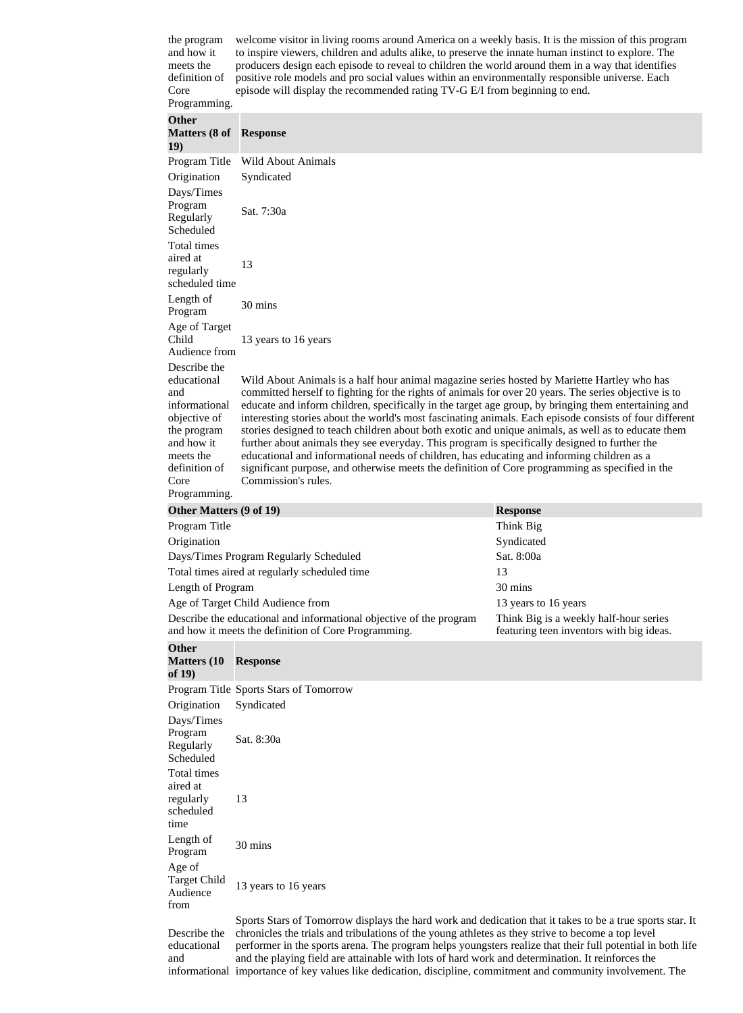the program and how it meets the definition of Core Programming. welcome visitor in living rooms around America on a weekly basis. It is the mission of this program to inspire viewers, children and adults alike, to preserve the innate human instinct to explore. The producers design each episode to reveal to children the world around them in a way that identifies positive role models and pro social values within an environmentally responsible universe. Each episode will display the recommended rating TV-G E/I from beginning to end.

| <b>Other</b><br><b>Matters (8 of Response</b><br>19)                            |                                                                                                                                                                                                                                                                                                                                                                                                                                                                                                                                         |                                                                                    |
|---------------------------------------------------------------------------------|-----------------------------------------------------------------------------------------------------------------------------------------------------------------------------------------------------------------------------------------------------------------------------------------------------------------------------------------------------------------------------------------------------------------------------------------------------------------------------------------------------------------------------------------|------------------------------------------------------------------------------------|
| Program Title                                                                   | <b>Wild About Animals</b>                                                                                                                                                                                                                                                                                                                                                                                                                                                                                                               |                                                                                    |
| Origination                                                                     | Syndicated                                                                                                                                                                                                                                                                                                                                                                                                                                                                                                                              |                                                                                    |
| Days/Times<br>Program<br>Regularly<br>Scheduled                                 | Sat. 7:30a                                                                                                                                                                                                                                                                                                                                                                                                                                                                                                                              |                                                                                    |
| Total times<br>aired at<br>regularly<br>scheduled time                          | 13                                                                                                                                                                                                                                                                                                                                                                                                                                                                                                                                      |                                                                                    |
| Length of<br>Program                                                            | 30 mins                                                                                                                                                                                                                                                                                                                                                                                                                                                                                                                                 |                                                                                    |
| Age of Target<br>Child<br>Audience from                                         | 13 years to 16 years                                                                                                                                                                                                                                                                                                                                                                                                                                                                                                                    |                                                                                    |
| Describe the<br>educational<br>and<br>informational                             | Wild About Animals is a half hour animal magazine series hosted by Mariette Hartley who has<br>committed herself to fighting for the rights of animals for over 20 years. The series objective is to<br>educate and inform children, specifically in the target age group, by bringing them entertaining and                                                                                                                                                                                                                            |                                                                                    |
| objective of<br>the program<br>and how it<br>meets the<br>definition of<br>Core | interesting stories about the world's most fascinating animals. Each episode consists of four different<br>stories designed to teach children about both exotic and unique animals, as well as to educate them<br>further about animals they see everyday. This program is specifically designed to further the<br>educational and informational needs of children, has educating and informing children as a<br>significant purpose, and otherwise meets the definition of Core programming as specified in the<br>Commission's rules. |                                                                                    |
| Programming.                                                                    |                                                                                                                                                                                                                                                                                                                                                                                                                                                                                                                                         |                                                                                    |
| Other Matters (9 of 19)                                                         |                                                                                                                                                                                                                                                                                                                                                                                                                                                                                                                                         | <b>Response</b>                                                                    |
| Program Title                                                                   |                                                                                                                                                                                                                                                                                                                                                                                                                                                                                                                                         | Think Big                                                                          |
| Origination                                                                     |                                                                                                                                                                                                                                                                                                                                                                                                                                                                                                                                         | Syndicated                                                                         |
|                                                                                 | Days/Times Program Regularly Scheduled                                                                                                                                                                                                                                                                                                                                                                                                                                                                                                  | Sat. 8:00a                                                                         |
|                                                                                 | Total times aired at regularly scheduled time                                                                                                                                                                                                                                                                                                                                                                                                                                                                                           | 13                                                                                 |
| Length of Program                                                               |                                                                                                                                                                                                                                                                                                                                                                                                                                                                                                                                         | 30 mins                                                                            |
| Age of Target Child Audience from                                               |                                                                                                                                                                                                                                                                                                                                                                                                                                                                                                                                         | 13 years to 16 years                                                               |
|                                                                                 | Describe the educational and informational objective of the program<br>and how it meets the definition of Core Programming.                                                                                                                                                                                                                                                                                                                                                                                                             | Think Big is a weekly half-hour series<br>featuring teen inventors with big ideas. |
| <b>Other</b><br><b>Matters (10)</b><br>of 19)                                   | <b>Response</b>                                                                                                                                                                                                                                                                                                                                                                                                                                                                                                                         |                                                                                    |
|                                                                                 | Program Title Sports Stars of Tomorrow                                                                                                                                                                                                                                                                                                                                                                                                                                                                                                  |                                                                                    |
| Origination                                                                     | Syndicated                                                                                                                                                                                                                                                                                                                                                                                                                                                                                                                              |                                                                                    |
| Days/Times<br>Program<br>Regularly<br>Scheduled                                 | Sat. 8:30a                                                                                                                                                                                                                                                                                                                                                                                                                                                                                                                              |                                                                                    |
| Total times<br>aired at<br>regularly<br>scheduled<br>time                       | 13                                                                                                                                                                                                                                                                                                                                                                                                                                                                                                                                      |                                                                                    |
| Length of<br>Program                                                            | 30 mins                                                                                                                                                                                                                                                                                                                                                                                                                                                                                                                                 |                                                                                    |
| Age of<br><b>Target Child</b><br>Audience<br>from                               | 13 years to 16 years                                                                                                                                                                                                                                                                                                                                                                                                                                                                                                                    |                                                                                    |
| Describe the<br>educational<br>and                                              | Sports Stars of Tomorrow displays the hard work and dedication that it takes to be a true sports star. It<br>chronicles the trials and tribulations of the young athletes as they strive to become a top level<br>performer in the sports arena. The program helps youngsters realize that their full potential in both life<br>and the playing field are attainable with lots of hard work and determination. It reinforces the                                                                                                        |                                                                                    |

informational importance of key values like dedication, discipline, commitment and community involvement. The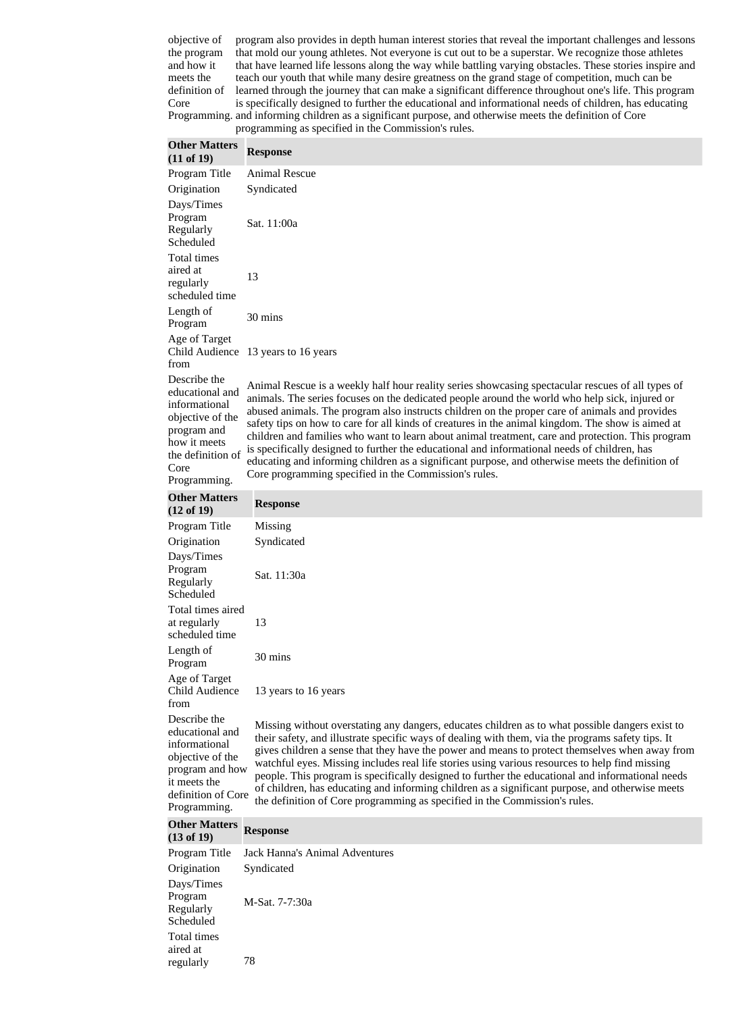objective of the program and how it meets the definition of Core Programming. and informing children as a significant purpose, and otherwise meets the definition of Core program also provides in depth human interest stories that reveal the important challenges and lessons that mold our young athletes. Not everyone is cut out to be a superstar. We recognize those athletes that have learned life lessons along the way while battling varying obstacles. These stories inspire and teach our youth that while many desire greatness on the grand stage of competition, much can be learned through the journey that can make a significant difference throughout one's life. This program is specifically designed to further the educational and informational needs of children, has educating programming as specified in the Commission's rules.

| <b>Other Matters</b><br>(11 of 19)                                                                                                               | <b>Response</b>                                                                                                                                                                                                                                                                                                                                                                                                                                                                                                                                                                                                                                                                                                                                                              |  |
|--------------------------------------------------------------------------------------------------------------------------------------------------|------------------------------------------------------------------------------------------------------------------------------------------------------------------------------------------------------------------------------------------------------------------------------------------------------------------------------------------------------------------------------------------------------------------------------------------------------------------------------------------------------------------------------------------------------------------------------------------------------------------------------------------------------------------------------------------------------------------------------------------------------------------------------|--|
| Program Title                                                                                                                                    | <b>Animal Rescue</b>                                                                                                                                                                                                                                                                                                                                                                                                                                                                                                                                                                                                                                                                                                                                                         |  |
| Origination                                                                                                                                      | Syndicated                                                                                                                                                                                                                                                                                                                                                                                                                                                                                                                                                                                                                                                                                                                                                                   |  |
| Days/Times<br>Program<br>Regularly<br>Scheduled                                                                                                  | Sat. 11:00a                                                                                                                                                                                                                                                                                                                                                                                                                                                                                                                                                                                                                                                                                                                                                                  |  |
| Total times<br>aired at<br>regularly<br>scheduled time                                                                                           | 13                                                                                                                                                                                                                                                                                                                                                                                                                                                                                                                                                                                                                                                                                                                                                                           |  |
| Length of<br>Program                                                                                                                             | 30 mins                                                                                                                                                                                                                                                                                                                                                                                                                                                                                                                                                                                                                                                                                                                                                                      |  |
| Age of Target<br>from                                                                                                                            | Child Audience 13 years to 16 years                                                                                                                                                                                                                                                                                                                                                                                                                                                                                                                                                                                                                                                                                                                                          |  |
| Describe the<br>educational and<br>informational<br>objective of the<br>program and<br>how it meets<br>the definition of<br>Core<br>Programming. | Animal Rescue is a weekly half hour reality series showcasing spectacular rescues of all types of<br>animals. The series focuses on the dedicated people around the world who help sick, injured or<br>abused animals. The program also instructs children on the proper care of animals and provides<br>safety tips on how to care for all kinds of creatures in the animal kingdom. The show is aimed at<br>children and families who want to learn about animal treatment, care and protection. This program<br>is specifically designed to further the educational and informational needs of children, has<br>educating and informing children as a significant purpose, and otherwise meets the definition of<br>Core programming specified in the Commission's rules. |  |
| <b>Other Matters</b><br>(12 of 19)                                                                                                               | <b>Response</b>                                                                                                                                                                                                                                                                                                                                                                                                                                                                                                                                                                                                                                                                                                                                                              |  |
| Program Title                                                                                                                                    | Missing                                                                                                                                                                                                                                                                                                                                                                                                                                                                                                                                                                                                                                                                                                                                                                      |  |
| Origination<br>Days/Times<br>Program<br>Regularly<br>Scheduled                                                                                   | Syndicated<br>Sat. 11:30a                                                                                                                                                                                                                                                                                                                                                                                                                                                                                                                                                                                                                                                                                                                                                    |  |
| Total times aired<br>at regularly<br>scheduled time                                                                                              | 13                                                                                                                                                                                                                                                                                                                                                                                                                                                                                                                                                                                                                                                                                                                                                                           |  |
| Length of<br>Program                                                                                                                             | 30 mins                                                                                                                                                                                                                                                                                                                                                                                                                                                                                                                                                                                                                                                                                                                                                                      |  |
| Age of Target<br><b>Child Audience</b><br>from                                                                                                   | 13 years to 16 years                                                                                                                                                                                                                                                                                                                                                                                                                                                                                                                                                                                                                                                                                                                                                         |  |
| Describe the<br>educational and<br>informational<br>objective of the<br>program and how<br>it meets the<br>definition of Core<br>Programming.    | Missing without overstating any dangers, educates children as to what possible dangers exist to<br>their safety, and illustrate specific ways of dealing with them, via the programs safety tips. It<br>gives children a sense that they have the power and means to protect themselves when away from<br>watchful eyes. Missing includes real life stories using various resources to help find missing<br>people. This program is specifically designed to further the educational and informational needs<br>of children, has educating and informing children as a significant purpose, and otherwise meets<br>the definition of Core programming as specified in the Commission's rules.                                                                                |  |
| <b>Other Matters</b><br>$(13 \text{ of } 19)$                                                                                                    | <b>Response</b>                                                                                                                                                                                                                                                                                                                                                                                                                                                                                                                                                                                                                                                                                                                                                              |  |
| Program Title                                                                                                                                    | <b>Jack Hanna's Animal Adventures</b>                                                                                                                                                                                                                                                                                                                                                                                                                                                                                                                                                                                                                                                                                                                                        |  |
| Origination                                                                                                                                      | Syndicated                                                                                                                                                                                                                                                                                                                                                                                                                                                                                                                                                                                                                                                                                                                                                                   |  |
| Days/Times<br>Program<br>Regularly<br>Scheduled                                                                                                  | M-Sat. 7-7:30a                                                                                                                                                                                                                                                                                                                                                                                                                                                                                                                                                                                                                                                                                                                                                               |  |
| Total times                                                                                                                                      |                                                                                                                                                                                                                                                                                                                                                                                                                                                                                                                                                                                                                                                                                                                                                                              |  |

aired at

regularly 78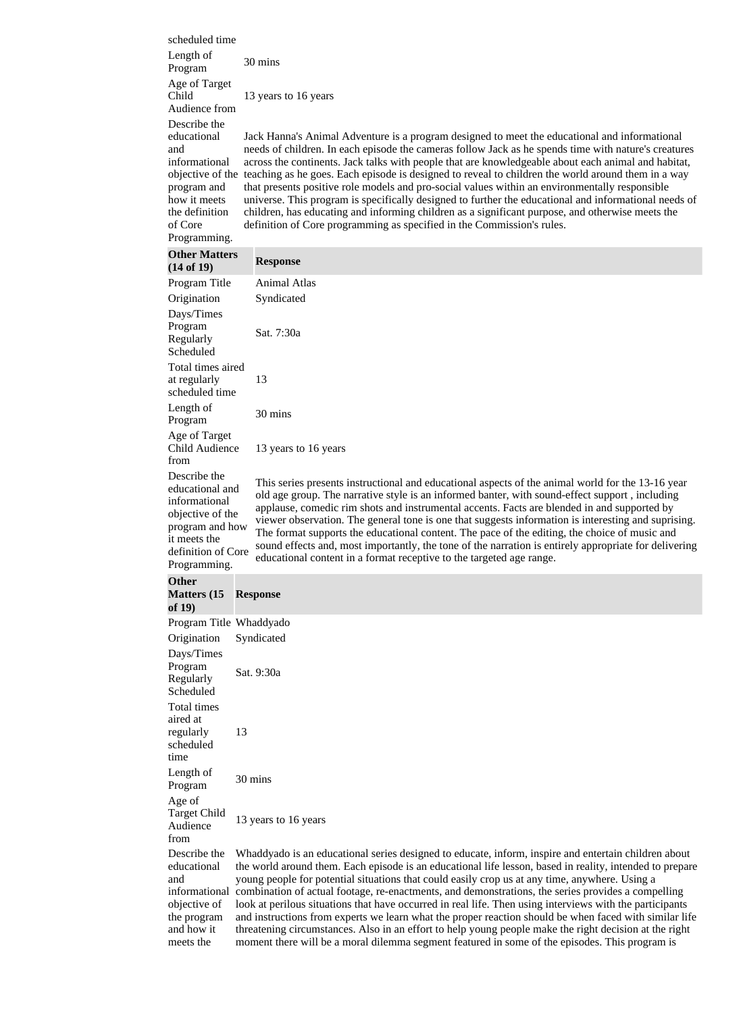| scheduled time<br>Length of<br>Program                                                                                                        | 30 mins                                                                                                                                                                                                                                                                                                                                                                                                                                                                                                                                                                                                                                                                                                                                                                                                                                                                  |
|-----------------------------------------------------------------------------------------------------------------------------------------------|--------------------------------------------------------------------------------------------------------------------------------------------------------------------------------------------------------------------------------------------------------------------------------------------------------------------------------------------------------------------------------------------------------------------------------------------------------------------------------------------------------------------------------------------------------------------------------------------------------------------------------------------------------------------------------------------------------------------------------------------------------------------------------------------------------------------------------------------------------------------------|
| Age of Target<br>Child<br>Audience from                                                                                                       | 13 years to 16 years                                                                                                                                                                                                                                                                                                                                                                                                                                                                                                                                                                                                                                                                                                                                                                                                                                                     |
| Describe the<br>educational<br>and<br>informational<br>program and<br>how it meets<br>the definition<br>of Core<br>Programming.               | Jack Hanna's Animal Adventure is a program designed to meet the educational and informational<br>needs of children. In each episode the cameras follow Jack as he spends time with nature's creatures<br>across the continents. Jack talks with people that are knowledgeable about each animal and habitat,<br>objective of the teaching as he goes. Each episode is designed to reveal to children the world around them in a way<br>that presents positive role models and pro-social values within an environmentally responsible<br>universe. This program is specifically designed to further the educational and informational needs of<br>children, has educating and informing children as a significant purpose, and otherwise meets the<br>definition of Core programming as specified in the Commission's rules.                                             |
| <b>Other Matters</b><br>(14 of 19)                                                                                                            | <b>Response</b>                                                                                                                                                                                                                                                                                                                                                                                                                                                                                                                                                                                                                                                                                                                                                                                                                                                          |
| Program Title<br>Origination<br>Days/Times<br>Program<br>Regularly                                                                            | <b>Animal Atlas</b><br>Syndicated<br>Sat. 7:30a                                                                                                                                                                                                                                                                                                                                                                                                                                                                                                                                                                                                                                                                                                                                                                                                                          |
| Scheduled<br>Total times aired<br>at regularly<br>scheduled time                                                                              | 13                                                                                                                                                                                                                                                                                                                                                                                                                                                                                                                                                                                                                                                                                                                                                                                                                                                                       |
| Length of<br>Program                                                                                                                          | 30 mins                                                                                                                                                                                                                                                                                                                                                                                                                                                                                                                                                                                                                                                                                                                                                                                                                                                                  |
| Age of Target<br>Child Audience<br>from                                                                                                       | 13 years to 16 years                                                                                                                                                                                                                                                                                                                                                                                                                                                                                                                                                                                                                                                                                                                                                                                                                                                     |
| Describe the<br>educational and<br>informational<br>objective of the<br>program and how<br>it meets the<br>definition of Core<br>Programming. | This series presents instructional and educational aspects of the animal world for the 13-16 year<br>old age group. The narrative style is an informed banter, with sound-effect support, including<br>applause, comedic rim shots and instrumental accents. Facts are blended in and supported by<br>viewer observation. The general tone is one that suggests information is interesting and suprising.<br>The format supports the educational content. The pace of the editing, the choice of music and<br>sound effects and, most importantly, the tone of the narration is entirely appropriate for delivering<br>educational content in a format receptive to the targeted age range.                                                                                                                                                                              |
| <b>Other</b><br><b>Matters</b> (15)<br>of $19)$                                                                                               | <b>Response</b>                                                                                                                                                                                                                                                                                                                                                                                                                                                                                                                                                                                                                                                                                                                                                                                                                                                          |
| Program Title Whaddyado<br>Origination                                                                                                        | Syndicated                                                                                                                                                                                                                                                                                                                                                                                                                                                                                                                                                                                                                                                                                                                                                                                                                                                               |
| Days/Times<br>Program<br>Regularly<br>Scheduled<br>Total times                                                                                | Sat. 9:30a                                                                                                                                                                                                                                                                                                                                                                                                                                                                                                                                                                                                                                                                                                                                                                                                                                                               |
| aired at<br>regularly<br>scheduled<br>time                                                                                                    | 13                                                                                                                                                                                                                                                                                                                                                                                                                                                                                                                                                                                                                                                                                                                                                                                                                                                                       |
| Length of<br>Program                                                                                                                          | 30 mins                                                                                                                                                                                                                                                                                                                                                                                                                                                                                                                                                                                                                                                                                                                                                                                                                                                                  |
| Age of<br><b>Target Child</b><br>Audience<br>from                                                                                             | 13 years to 16 years                                                                                                                                                                                                                                                                                                                                                                                                                                                                                                                                                                                                                                                                                                                                                                                                                                                     |
| Describe the<br>educational<br>and<br>objective of<br>the program<br>and how it<br>meets the                                                  | Whaddyado is an educational series designed to educate, inform, inspire and entertain children about<br>the world around them. Each episode is an educational life lesson, based in reality, intended to prepare<br>young people for potential situations that could easily crop us at any time, anywhere. Using a<br>informational combination of actual footage, re-enactments, and demonstrations, the series provides a compelling<br>look at perilous situations that have occurred in real life. Then using interviews with the participants<br>and instructions from experts we learn what the proper reaction should be when faced with similar life<br>threatening circumstances. Also in an effort to help young people make the right decision at the right<br>moment there will be a moral dilemma segment featured in some of the episodes. This program is |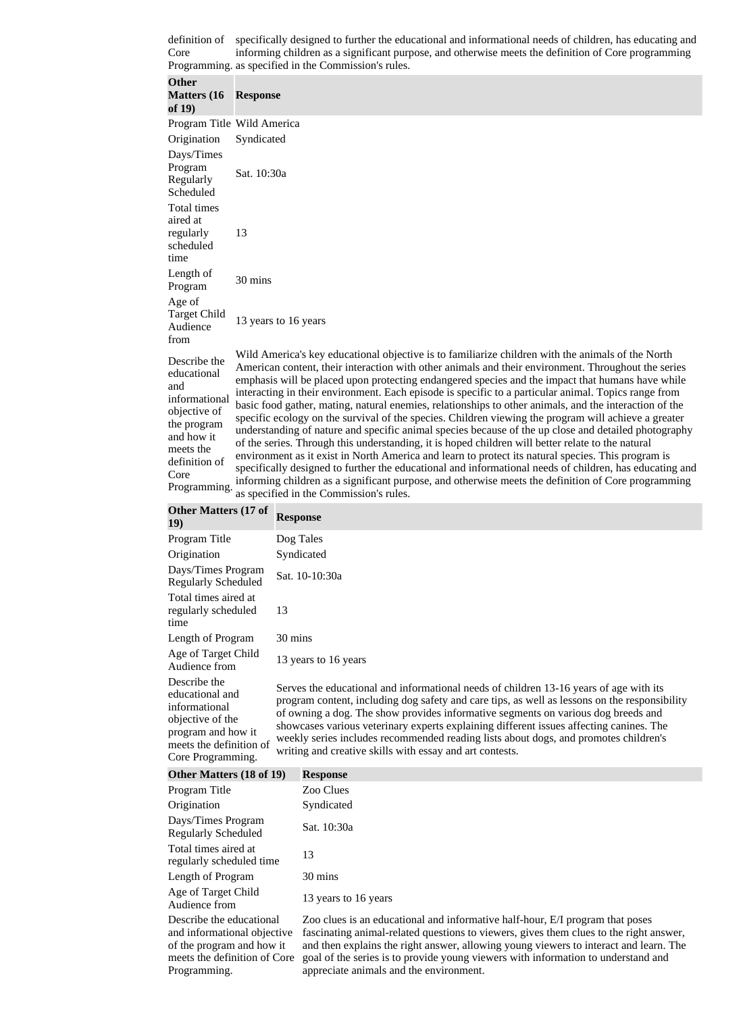definition of specifically designed to further the educational and informational needs of children, has educating and Core Programming. as specified in the Commission's rules. informing children as a significant purpose, and otherwise meets the definition of Core programming

| <b>Other</b><br><b>Matters</b> (16<br>of $19)$                                                                                                         | <b>Response</b>                                                                                                                                                                                                                                                                                                                                                                                                                                                                                                                                                                                                                                                                                                                                                                                                                                                                                                                                                                                                                                                                                                                                                                                                        |
|--------------------------------------------------------------------------------------------------------------------------------------------------------|------------------------------------------------------------------------------------------------------------------------------------------------------------------------------------------------------------------------------------------------------------------------------------------------------------------------------------------------------------------------------------------------------------------------------------------------------------------------------------------------------------------------------------------------------------------------------------------------------------------------------------------------------------------------------------------------------------------------------------------------------------------------------------------------------------------------------------------------------------------------------------------------------------------------------------------------------------------------------------------------------------------------------------------------------------------------------------------------------------------------------------------------------------------------------------------------------------------------|
|                                                                                                                                                        | Program Title Wild America                                                                                                                                                                                                                                                                                                                                                                                                                                                                                                                                                                                                                                                                                                                                                                                                                                                                                                                                                                                                                                                                                                                                                                                             |
| Origination                                                                                                                                            | Syndicated                                                                                                                                                                                                                                                                                                                                                                                                                                                                                                                                                                                                                                                                                                                                                                                                                                                                                                                                                                                                                                                                                                                                                                                                             |
| Days/Times<br>Program<br>Regularly<br>Scheduled                                                                                                        | Sat. 10:30a                                                                                                                                                                                                                                                                                                                                                                                                                                                                                                                                                                                                                                                                                                                                                                                                                                                                                                                                                                                                                                                                                                                                                                                                            |
| Total times<br>aired at<br>regularly<br>scheduled<br>time                                                                                              | 13                                                                                                                                                                                                                                                                                                                                                                                                                                                                                                                                                                                                                                                                                                                                                                                                                                                                                                                                                                                                                                                                                                                                                                                                                     |
| Length of<br>Program                                                                                                                                   | 30 mins                                                                                                                                                                                                                                                                                                                                                                                                                                                                                                                                                                                                                                                                                                                                                                                                                                                                                                                                                                                                                                                                                                                                                                                                                |
| Age of<br><b>Target Child</b><br>Audience<br>from                                                                                                      | 13 years to 16 years                                                                                                                                                                                                                                                                                                                                                                                                                                                                                                                                                                                                                                                                                                                                                                                                                                                                                                                                                                                                                                                                                                                                                                                                   |
| Describe the<br>educational<br>and<br>informational<br>objective of<br>the program<br>and how it<br>meets the<br>definition of<br>Core<br>Programming. | Wild America's key educational objective is to familiarize children with the animals of the North<br>American content, their interaction with other animals and their environment. Throughout the series<br>emphasis will be placed upon protecting endangered species and the impact that humans have while<br>interacting in their environment. Each episode is specific to a particular animal. Topics range from<br>basic food gather, mating, natural enemies, relationships to other animals, and the interaction of the<br>specific ecology on the survival of the species. Children viewing the program will achieve a greater<br>understanding of nature and specific animal species because of the up close and detailed photography<br>of the series. Through this understanding, it is hoped children will better relate to the natural<br>environment as it exist in North America and learn to protect its natural species. This program is<br>specifically designed to further the educational and informational needs of children, has educating and<br>informing children as a significant purpose, and otherwise meets the definition of Core programming<br>as specified in the Commission's rules. |
| Other Matters (17 of $\overline{R}$                                                                                                                    |                                                                                                                                                                                                                                                                                                                                                                                                                                                                                                                                                                                                                                                                                                                                                                                                                                                                                                                                                                                                                                                                                                                                                                                                                        |

| <b>OUIGL Matters (17 OF</b><br><b>19</b> )                                                                                                 | <b>Response</b>                                                                                                                                                                                                                                                                                                                                                                                                                                                                                                             |
|--------------------------------------------------------------------------------------------------------------------------------------------|-----------------------------------------------------------------------------------------------------------------------------------------------------------------------------------------------------------------------------------------------------------------------------------------------------------------------------------------------------------------------------------------------------------------------------------------------------------------------------------------------------------------------------|
| Program Title                                                                                                                              | Dog Tales                                                                                                                                                                                                                                                                                                                                                                                                                                                                                                                   |
| Origination                                                                                                                                | Syndicated                                                                                                                                                                                                                                                                                                                                                                                                                                                                                                                  |
| Days/Times Program<br><b>Regularly Scheduled</b>                                                                                           | Sat. 10-10:30a                                                                                                                                                                                                                                                                                                                                                                                                                                                                                                              |
| Total times aired at<br>regularly scheduled<br>time                                                                                        | 13                                                                                                                                                                                                                                                                                                                                                                                                                                                                                                                          |
| Length of Program                                                                                                                          | 30 mins                                                                                                                                                                                                                                                                                                                                                                                                                                                                                                                     |
| Age of Target Child<br>Audience from                                                                                                       | 13 years to 16 years                                                                                                                                                                                                                                                                                                                                                                                                                                                                                                        |
| Describe the<br>educational and<br>informational<br>objective of the<br>program and how it<br>meets the definition of<br>Core Programming. | Serves the educational and informational needs of children 13-16 years of age with its<br>program content, including dog safety and care tips, as well as lessons on the responsibility<br>of owning a dog. The show provides informative segments on various dog breeds and<br>showcases various veterinary experts explaining different issues affecting canines. The<br>weekly series includes recommended reading lists about dogs, and promotes children's<br>writing and creative skills with essay and art contests. |

| <b>Other Matters (18 of 19)</b>                                                                                                      | <b>Response</b>                                                                                                                                                                                                                                                                                                                                                                                  |
|--------------------------------------------------------------------------------------------------------------------------------------|--------------------------------------------------------------------------------------------------------------------------------------------------------------------------------------------------------------------------------------------------------------------------------------------------------------------------------------------------------------------------------------------------|
| Program Title                                                                                                                        | Zoo Clues                                                                                                                                                                                                                                                                                                                                                                                        |
| Origination                                                                                                                          | Syndicated                                                                                                                                                                                                                                                                                                                                                                                       |
| Days/Times Program<br><b>Regularly Scheduled</b>                                                                                     | Sat. 10:30a                                                                                                                                                                                                                                                                                                                                                                                      |
| Total times aired at<br>regularly scheduled time                                                                                     | 13                                                                                                                                                                                                                                                                                                                                                                                               |
| Length of Program                                                                                                                    | 30 mins                                                                                                                                                                                                                                                                                                                                                                                          |
| Age of Target Child<br>Audience from                                                                                                 | 13 years to 16 years                                                                                                                                                                                                                                                                                                                                                                             |
| Describe the educational<br>and informational objective<br>of the program and how it<br>meets the definition of Core<br>Programming. | Zoo clues is an educational and informative half-hour, E/I program that poses<br>fascinating animal-related questions to viewers, gives them clues to the right answer,<br>and then explains the right answer, allowing young viewers to interact and learn. The<br>goal of the series is to provide young viewers with information to understand and<br>appreciate animals and the environment. |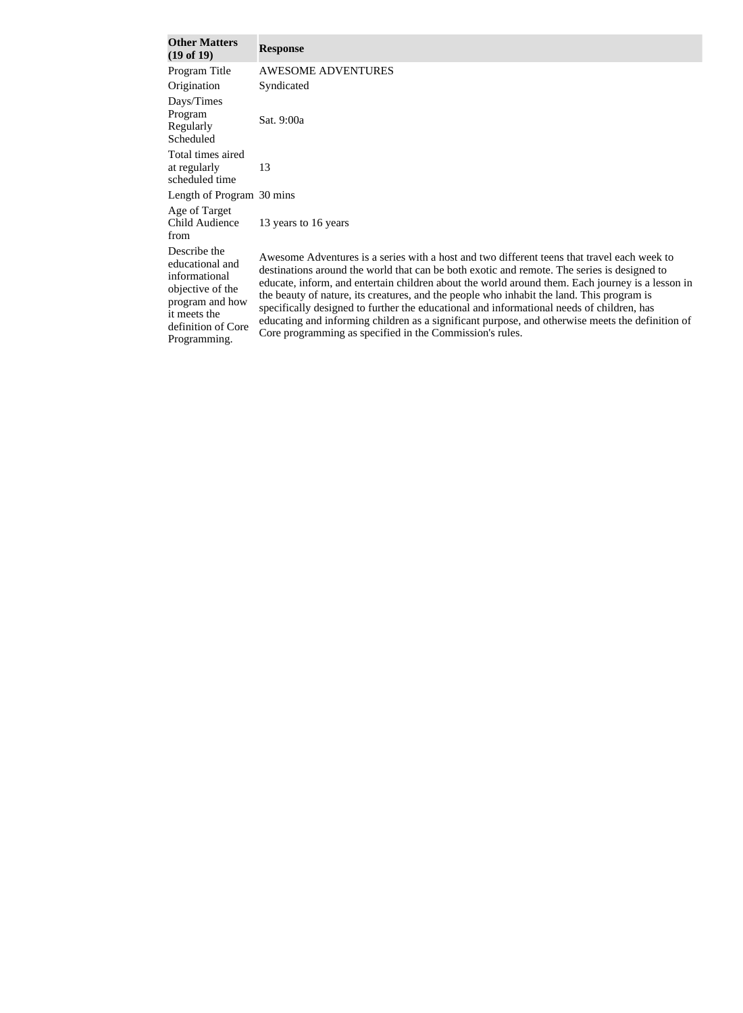| <b>Other Matters</b><br>(19 of 19)                                                                                                            | <b>Response</b>                                                                                                                                                                                                                                                                                                                                                                                                                                                                                                                                                                                                                                          |
|-----------------------------------------------------------------------------------------------------------------------------------------------|----------------------------------------------------------------------------------------------------------------------------------------------------------------------------------------------------------------------------------------------------------------------------------------------------------------------------------------------------------------------------------------------------------------------------------------------------------------------------------------------------------------------------------------------------------------------------------------------------------------------------------------------------------|
| Program Title                                                                                                                                 | <b>AWESOME ADVENTURES</b>                                                                                                                                                                                                                                                                                                                                                                                                                                                                                                                                                                                                                                |
| Origination                                                                                                                                   | Syndicated                                                                                                                                                                                                                                                                                                                                                                                                                                                                                                                                                                                                                                               |
| Days/Times<br>Program<br>Regularly<br>Scheduled                                                                                               | Sat. 9:00a                                                                                                                                                                                                                                                                                                                                                                                                                                                                                                                                                                                                                                               |
| Total times aired<br>at regularly<br>scheduled time                                                                                           | 13                                                                                                                                                                                                                                                                                                                                                                                                                                                                                                                                                                                                                                                       |
| Length of Program 30 mins                                                                                                                     |                                                                                                                                                                                                                                                                                                                                                                                                                                                                                                                                                                                                                                                          |
| Age of Target<br>Child Audience<br>from                                                                                                       | 13 years to 16 years                                                                                                                                                                                                                                                                                                                                                                                                                                                                                                                                                                                                                                     |
| Describe the<br>educational and<br>informational<br>objective of the<br>program and how<br>it meets the<br>definition of Core<br>Programming. | Awesome Adventures is a series with a host and two different teens that travel each week to<br>destinations around the world that can be both exotic and remote. The series is designed to<br>educate, inform, and entertain children about the world around them. Each journey is a lesson in<br>the beauty of nature, its creatures, and the people who inhabit the land. This program is<br>specifically designed to further the educational and informational needs of children, has<br>educating and informing children as a significant purpose, and otherwise meets the definition of<br>Core programming as specified in the Commission's rules. |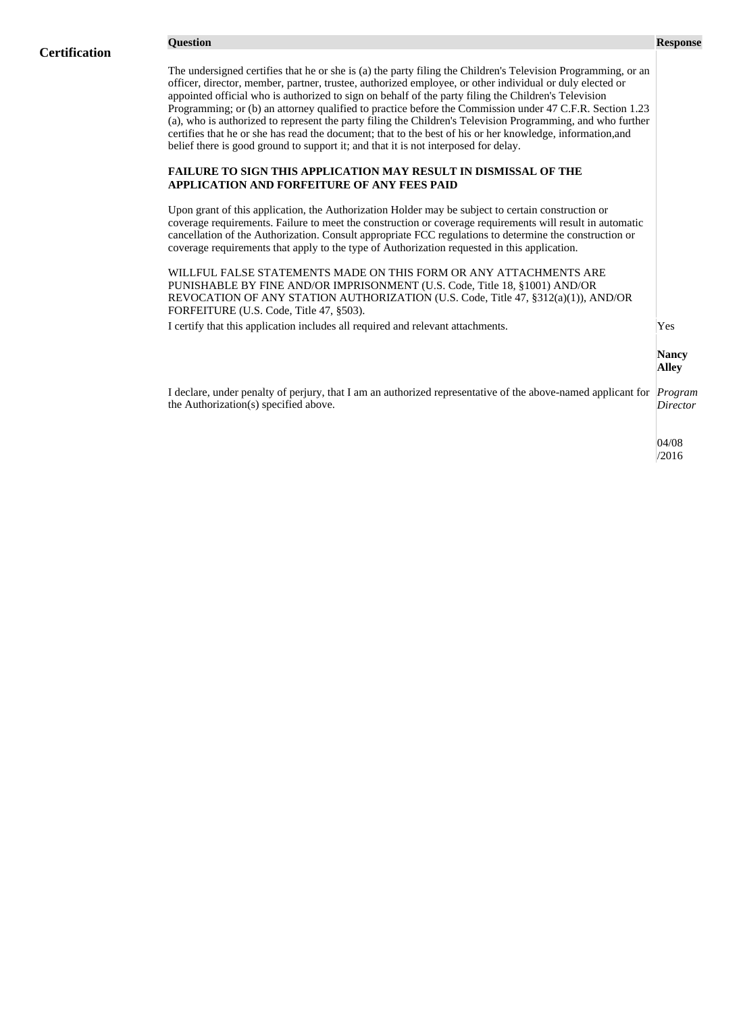The undersigned certifies that he or she is (a) the party filing the Children's Television Programming, or an officer, director, member, partner, trustee, authorized employee, or other individual or duly elected or appointed official who is authorized to sign on behalf of the party filing the Children's Television Programming; or (b) an attorney qualified to practice before the Commission under 47 C.F.R. Section 1.23 (a), who is authorized to represent the party filing the Children's Television Programming, and who further certifies that he or she has read the document; that to the best of his or her knowledge, information,and belief there is good ground to support it; and that it is not interposed for delay.

### **FAILURE TO SIGN THIS APPLICATION MAY RESULT IN DISMISSAL OF THE APPLICATION AND FORFEITURE OF ANY FEES PAID**

Upon grant of this application, the Authorization Holder may be subject to certain construction or coverage requirements. Failure to meet the construction or coverage requirements will result in automatic cancellation of the Authorization. Consult appropriate FCC regulations to determine the construction or coverage requirements that apply to the type of Authorization requested in this application.

WILLFUL FALSE STATEMENTS MADE ON THIS FORM OR ANY ATTACHMENTS ARE PUNISHABLE BY FINE AND/OR IMPRISONMENT (U.S. Code, Title 18, §1001) AND/OR REVOCATION OF ANY STATION AUTHORIZATION (U.S. Code, Title 47, §312(a)(1)), AND/OR FORFEITURE (U.S. Code, Title 47, §503).

I certify that this application includes all required and relevant attachments. Yes

**Nancy Alley**

I declare, under penalty of perjury, that I am an authorized representative of the above-named applicant for *Program*  the Authorization(s) specified above. *Director*

> 04/08 /2016